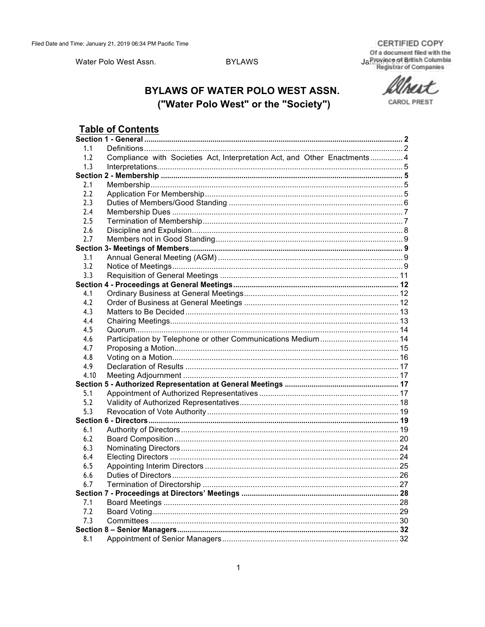**CERTIFIED COPY** 

Water Polo West Assn.

## **BYLAWS**

Of a document filed with the Jahnen British Columbia

**CAROL PREST** 

# **BYLAWS OF WATER POLO WEST ASSN.** ("Water Polo West" or the "Society")

# **Table of Contents**

| 1.1  |                                                                           |  |  |
|------|---------------------------------------------------------------------------|--|--|
| 1.2  | Compliance with Societies Act, Interpretation Act, and Other Enactments 4 |  |  |
| 1.3  |                                                                           |  |  |
|      |                                                                           |  |  |
| 2.1  |                                                                           |  |  |
| 2.2  |                                                                           |  |  |
| 2.3  |                                                                           |  |  |
| 2.4  |                                                                           |  |  |
| 2.5  |                                                                           |  |  |
| 2.6  |                                                                           |  |  |
| 2.7  |                                                                           |  |  |
|      |                                                                           |  |  |
| 3.1  |                                                                           |  |  |
| 3.2  |                                                                           |  |  |
| 3.3  |                                                                           |  |  |
|      |                                                                           |  |  |
| 4.1  |                                                                           |  |  |
| 4.2  |                                                                           |  |  |
| 4.3  |                                                                           |  |  |
| 4.4  |                                                                           |  |  |
| 4.5  |                                                                           |  |  |
| 4.6  | Participation by Telephone or other Communications Medium 14              |  |  |
| 4.7  |                                                                           |  |  |
| 4.8  |                                                                           |  |  |
| 4.9  |                                                                           |  |  |
| 4.10 |                                                                           |  |  |
|      |                                                                           |  |  |
| 5.1  |                                                                           |  |  |
| 5.2  |                                                                           |  |  |
| 5.3  |                                                                           |  |  |
|      |                                                                           |  |  |
| 6.1  |                                                                           |  |  |
| 6.2  |                                                                           |  |  |
| 6.3  |                                                                           |  |  |
| 6.4  |                                                                           |  |  |
| 6.5  |                                                                           |  |  |
| 6.6  |                                                                           |  |  |
| 6.7  |                                                                           |  |  |
|      |                                                                           |  |  |
| 7.1  |                                                                           |  |  |
| 7.2  |                                                                           |  |  |
| 7.3  |                                                                           |  |  |
|      |                                                                           |  |  |
| 8.1  |                                                                           |  |  |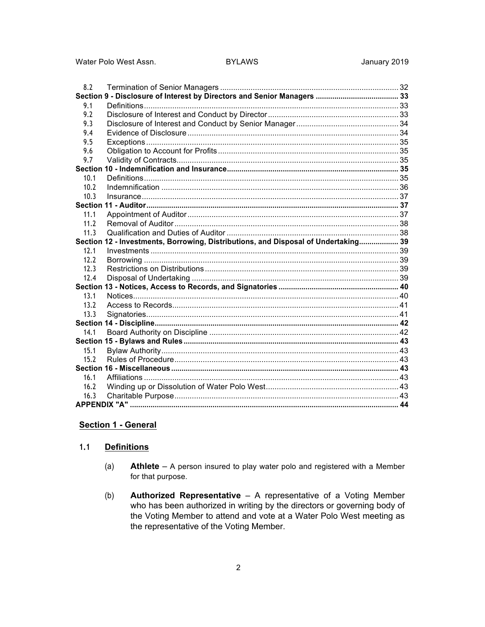Water Polo West Assn.

### **BYLAWS**

| 8.2  |                                                                                    |  |  |
|------|------------------------------------------------------------------------------------|--|--|
|      |                                                                                    |  |  |
| 9.1  |                                                                                    |  |  |
| 9.2  |                                                                                    |  |  |
| 9.3  |                                                                                    |  |  |
| 9.4  |                                                                                    |  |  |
| 9.5  |                                                                                    |  |  |
| 9.6  |                                                                                    |  |  |
| 9.7  |                                                                                    |  |  |
|      |                                                                                    |  |  |
| 10.1 |                                                                                    |  |  |
| 10.2 |                                                                                    |  |  |
| 10.3 |                                                                                    |  |  |
|      |                                                                                    |  |  |
| 11.1 |                                                                                    |  |  |
| 11.2 |                                                                                    |  |  |
| 11.3 |                                                                                    |  |  |
|      | Section 12 - Investments, Borrowing, Distributions, and Disposal of Undertaking 39 |  |  |
| 12.1 |                                                                                    |  |  |
| 12.2 |                                                                                    |  |  |
| 12.3 |                                                                                    |  |  |
| 12.4 |                                                                                    |  |  |
|      |                                                                                    |  |  |
| 13.1 |                                                                                    |  |  |
| 13.2 |                                                                                    |  |  |
| 13.3 |                                                                                    |  |  |
|      |                                                                                    |  |  |
| 14.1 |                                                                                    |  |  |
|      |                                                                                    |  |  |
| 15.1 |                                                                                    |  |  |
| 15.2 |                                                                                    |  |  |
|      |                                                                                    |  |  |
| 16.1 |                                                                                    |  |  |
| 16.2 |                                                                                    |  |  |
| 16.3 |                                                                                    |  |  |
|      |                                                                                    |  |  |

### **Section 1 - General**

#### $1.1$ **Definitions**

- $(a)$ **Athlete**  $-$  A person insured to play water polo and registered with a Member for that purpose.
- Authorized Representative A representative of a Voting Member  $(b)$ who has been authorized in writing by the directors or governing body of the Voting Member to attend and vote at a Water Polo West meeting as the representative of the Voting Member.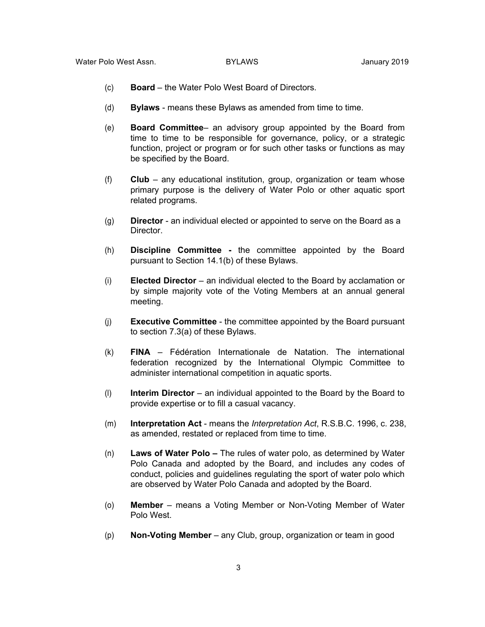- (c) **Board**  the Water Polo West Board of Directors.
- (d) **Bylaws**  means these Bylaws as amended from time to time.
- (e) **Board Committee** an advisory group appointed by the Board from time to time to be responsible for governance, policy, or a strategic function, project or program or for such other tasks or functions as may be specified by the Board.
- (f) **Club**  any educational institution, group, organization or team whose primary purpose is the delivery of Water Polo or other aquatic sport related programs.
- (g) **Director**  an individual elected or appointed to serve on the Board as a Director.
- (h) **Discipline Committee -** the committee appointed by the Board pursuant to Section 14.1(b) of these Bylaws.
- (i) **Elected Director** an individual elected to the Board by acclamation or by simple majority vote of the Voting Members at an annual general meeting.
- (j) **Executive Committee** the committee appointed by the Board pursuant to section 7.3(a) of these Bylaws.
- (k) **FINA** Fédération Internationale de Natation. The international federation recognized by the International Olympic Committee to administer international competition in aquatic sports.
- (l) **Interim Director**  an individual appointed to the Board by the Board to provide expertise or to fill a casual vacancy.
- (m) **Interpretation Act**  means the *Interpretation Act*, R.S.B.C. 1996, c. 238, as amended, restated or replaced from time to time.
- (n) **Laws of Water Polo –** The rules of water polo, as determined by Water Polo Canada and adopted by the Board, and includes any codes of conduct, policies and guidelines regulating the sport of water polo which are observed by Water Polo Canada and adopted by the Board.
- (o) **Member**  means a Voting Member or Non-Voting Member of Water Polo West.
- (p) **Non-Voting Member**  any Club, group, organization or team in good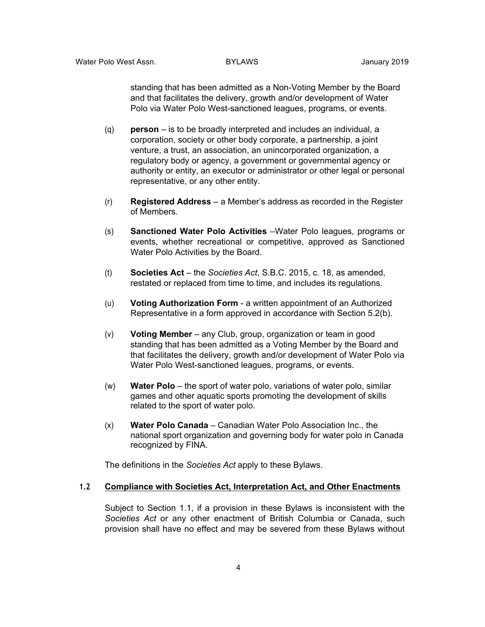standing that has been admitted as a Non-Voting Member by the Board and that facilitates the delivery, growth and/or development of Water Polo via Water Polo West-sanctioned leagues, programs, or events.

- (q) **person** *–* is to be broadly interpreted and includes an individual, a corporation, society or other body corporate, a partnership, a joint venture, a trust, an association, an unincorporated organization, a regulatory body or agency, a government or governmental agency or authority or entity, an executor or administrator or other legal or personal representative, or any other entity.
- (r) **Registered Address**  a Member's address as recorded in the Register of Members.
- (s) **Sanctioned Water Polo Activities** –Water Polo leagues, programs or events, whether recreational or competitive, approved as Sanctioned Water Polo Activities by the Board.
- (t) **Societies Act**  the *Societies Act*, S.B.C. 2015, c. 18, as amended, restated or replaced from time to time, and includes its regulations.
- (u) **Voting Authorization Form**  a written appointment of an Authorized Representative in a form approved in accordance with Section 5.2(b).
- (v) **Voting Member**  any Club, group, organization or team in good standing that has been admitted as a Voting Member by the Board and that facilitates the delivery, growth and/or development of Water Polo via Water Polo West-sanctioned leagues, programs, or events.
- (w) **Water Polo** the sport of water polo, variations of water polo, similar games and other aquatic sports promoting the development of skills related to the sport of water polo.
- (x) **Water Polo Canada**  Canadian Water Polo Association Inc., the national sport organization and governing body for water polo in Canada recognized by FINA.

The definitions in the *Societies Act* apply to these Bylaws.

#### **1.2 Compliance with Societies Act, Interpretation Act, and Other Enactments**

Subject to Section 1.1, if a provision in these Bylaws is inconsistent with the *Societies Act* or any other enactment of British Columbia or Canada, such provision shall have no effect and may be severed from these Bylaws without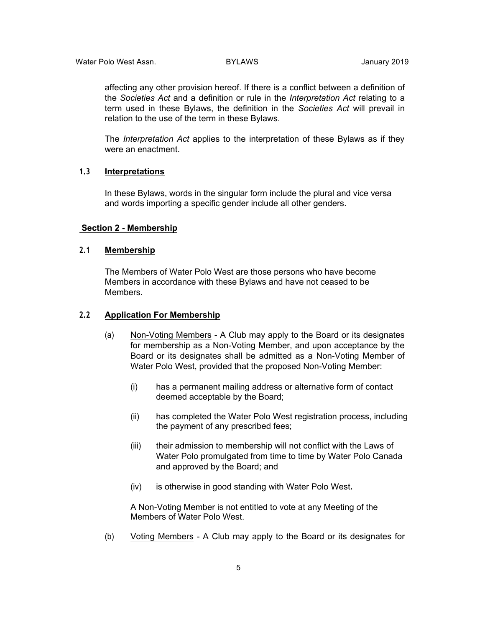affecting any other provision hereof. If there is a conflict between a definition of the *Societies Act* and a definition or rule in the *Interpretation Act* relating to a term used in these Bylaws, the definition in the *Societies Act* will prevail in relation to the use of the term in these Bylaws.

The *Interpretation Act* applies to the interpretation of these Bylaws as if they were an enactment.

#### **1.3 Interpretations**

In these Bylaws, words in the singular form include the plural and vice versa and words importing a specific gender include all other genders.

#### **Section 2 - Membership**

### **2.1 Membership**

The Members of Water Polo West are those persons who have become Members in accordance with these Bylaws and have not ceased to be Members.

### **2.2 Application For Membership**

- (a) Non-Voting Members A Club may apply to the Board or its designates for membership as a Non-Voting Member, and upon acceptance by the Board or its designates shall be admitted as a Non-Voting Member of Water Polo West, provided that the proposed Non-Voting Member:
	- (i) has a permanent mailing address or alternative form of contact deemed acceptable by the Board;
	- (ii) has completed the Water Polo West registration process, including the payment of any prescribed fees;
	- (iii) their admission to membership will not conflict with the Laws of Water Polo promulgated from time to time by Water Polo Canada and approved by the Board; and
	- (iv) is otherwise in good standing with Water Polo West**.**

A Non-Voting Member is not entitled to vote at any Meeting of the Members of Water Polo West.

(b) Voting Members - A Club may apply to the Board or its designates for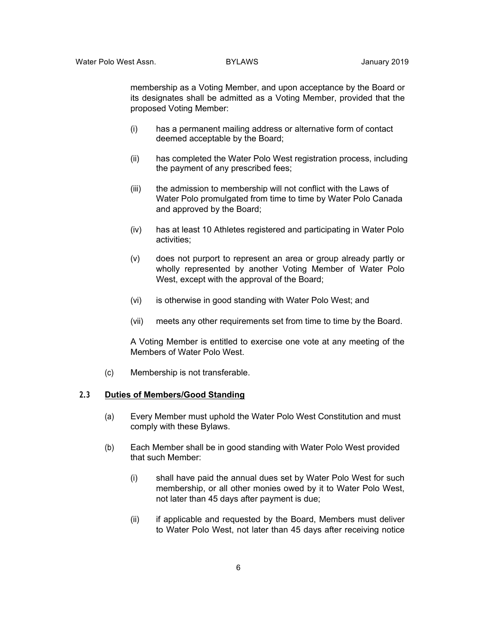membership as a Voting Member, and upon acceptance by the Board or its designates shall be admitted as a Voting Member, provided that the proposed Voting Member:

- (i) has a permanent mailing address or alternative form of contact deemed acceptable by the Board;
- (ii) has completed the Water Polo West registration process, including the payment of any prescribed fees;
- (iii) the admission to membership will not conflict with the Laws of Water Polo promulgated from time to time by Water Polo Canada and approved by the Board;
- (iv) has at least 10 Athletes registered and participating in Water Polo activities;
- (v) does not purport to represent an area or group already partly or wholly represented by another Voting Member of Water Polo West, except with the approval of the Board;
- (vi) is otherwise in good standing with Water Polo West; and
- (vii) meets any other requirements set from time to time by the Board.

A Voting Member is entitled to exercise one vote at any meeting of the Members of Water Polo West.

(c) Membership is not transferable.

#### **2.3 Duties of Members/Good Standing**

- (a) Every Member must uphold the Water Polo West Constitution and must comply with these Bylaws.
- (b) Each Member shall be in good standing with Water Polo West provided that such Member:
	- (i) shall have paid the annual dues set by Water Polo West for such membership, or all other monies owed by it to Water Polo West, not later than 45 days after payment is due;
	- (ii) if applicable and requested by the Board, Members must deliver to Water Polo West, not later than 45 days after receiving notice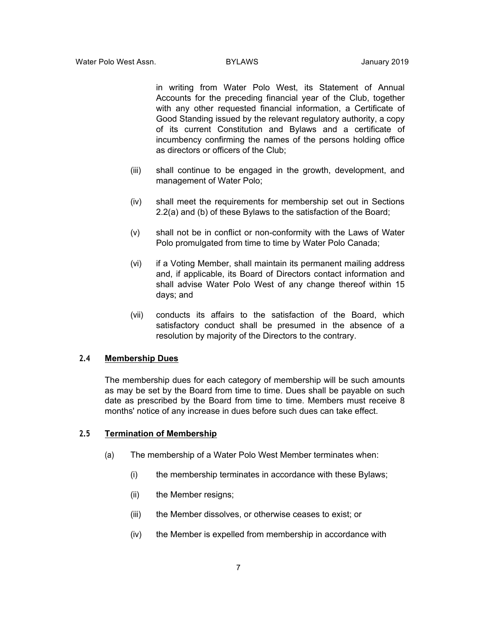in writing from Water Polo West, its Statement of Annual Accounts for the preceding financial year of the Club, together with any other requested financial information, a Certificate of Good Standing issued by the relevant regulatory authority, a copy of its current Constitution and Bylaws and a certificate of incumbency confirming the names of the persons holding office as directors or officers of the Club;

- (iii) shall continue to be engaged in the growth, development, and management of Water Polo;
- (iv) shall meet the requirements for membership set out in Sections 2.2(a) and (b) of these Bylaws to the satisfaction of the Board;
- (v) shall not be in conflict or non-conformity with the Laws of Water Polo promulgated from time to time by Water Polo Canada;
- (vi) if a Voting Member, shall maintain its permanent mailing address and, if applicable, its Board of Directors contact information and shall advise Water Polo West of any change thereof within 15 days; and
- (vii) conducts its affairs to the satisfaction of the Board, which satisfactory conduct shall be presumed in the absence of a resolution by majority of the Directors to the contrary.

#### **2.4 Membership Dues**

The membership dues for each category of membership will be such amounts as may be set by the Board from time to time. Dues shall be payable on such date as prescribed by the Board from time to time. Members must receive 8 months' notice of any increase in dues before such dues can take effect.

### **2.5 Termination of Membership**

- (a) The membership of a Water Polo West Member terminates when:
	- (i) the membership terminates in accordance with these Bylaws;
	- (ii) the Member resigns;
	- (iii) the Member dissolves, or otherwise ceases to exist; or
	- (iv) the Member is expelled from membership in accordance with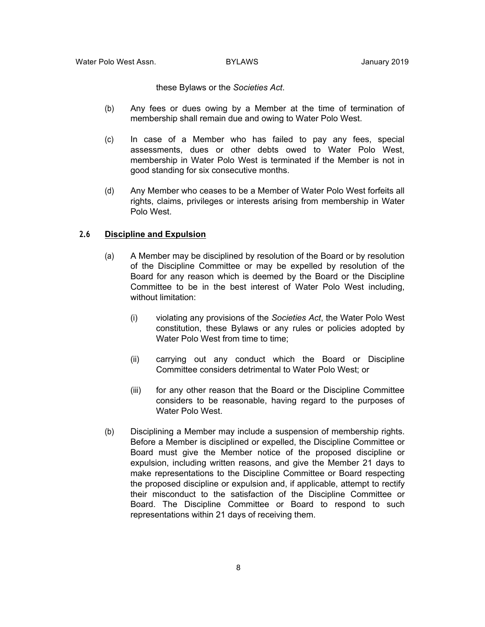these Bylaws or the *Societies Act*.

- (b) Any fees or dues owing by a Member at the time of termination of membership shall remain due and owing to Water Polo West.
- (c) In case of a Member who has failed to pay any fees, special assessments, dues or other debts owed to Water Polo West, membership in Water Polo West is terminated if the Member is not in good standing for six consecutive months.
- (d) Any Member who ceases to be a Member of Water Polo West forfeits all rights, claims, privileges or interests arising from membership in Water Polo West.

### **2.6 Discipline and Expulsion**

- (a) A Member may be disciplined by resolution of the Board or by resolution of the Discipline Committee or may be expelled by resolution of the Board for any reason which is deemed by the Board or the Discipline Committee to be in the best interest of Water Polo West including, without limitation:
	- (i) violating any provisions of the *Societies Act*, the Water Polo West constitution, these Bylaws or any rules or policies adopted by Water Polo West from time to time;
	- (ii) carrying out any conduct which the Board or Discipline Committee considers detrimental to Water Polo West; or
	- (iii) for any other reason that the Board or the Discipline Committee considers to be reasonable, having regard to the purposes of Water Polo West.
- (b) Disciplining a Member may include a suspension of membership rights. Before a Member is disciplined or expelled, the Discipline Committee or Board must give the Member notice of the proposed discipline or expulsion, including written reasons, and give the Member 21 days to make representations to the Discipline Committee or Board respecting the proposed discipline or expulsion and, if applicable, attempt to rectify their misconduct to the satisfaction of the Discipline Committee or Board. The Discipline Committee or Board to respond to such representations within 21 days of receiving them.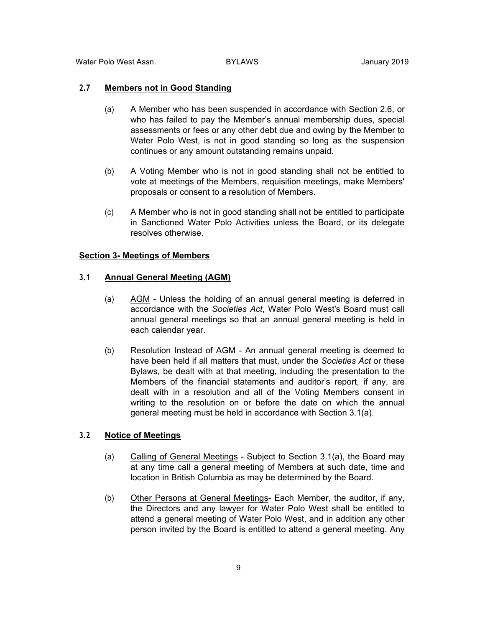Water Polo West Assn. BYLAWS January 2019

### **2.7 Members not in Good Standing**

- (a) A Member who has been suspended in accordance with Section 2.6, or who has failed to pay the Member's annual membership dues, special assessments or fees or any other debt due and owing by the Member to Water Polo West, is not in good standing so long as the suspension continues or any amount outstanding remains unpaid.
- (b) A Voting Member who is not in good standing shall not be entitled to vote at meetings of the Members, requisition meetings, make Members' proposals or consent to a resolution of Members.
- (c) A Member who is not in good standing shall not be entitled to participate in Sanctioned Water Polo Activities unless the Board, or its delegate resolves otherwise.

### **Section 3- Meetings of Members**

### **3.1 Annual General Meeting (AGM)**

- (a) AGM Unless the holding of an annual general meeting is deferred in accordance with the *Societies Act*, Water Polo West's Board must call annual general meetings so that an annual general meeting is held in each calendar year.
- (b) Resolution Instead of AGM An annual general meeting is deemed to have been held if all matters that must, under the *Societies Act* or these Bylaws, be dealt with at that meeting, including the presentation to the Members of the financial statements and auditor's report, if any, are dealt with in a resolution and all of the Voting Members consent in writing to the resolution on or before the date on which the annual general meeting must be held in accordance with Section 3.1(a).

### **3.2 Notice of Meetings**

- (a) Calling of General Meetings Subject to Section 3.1(a), the Board may at any time call a general meeting of Members at such date, time and location in British Columbia as may be determined by the Board.
- (b) Other Persons at General Meetings- Each Member, the auditor, if any, the Directors and any lawyer for Water Polo West shall be entitled to attend a general meeting of Water Polo West, and in addition any other person invited by the Board is entitled to attend a general meeting. Any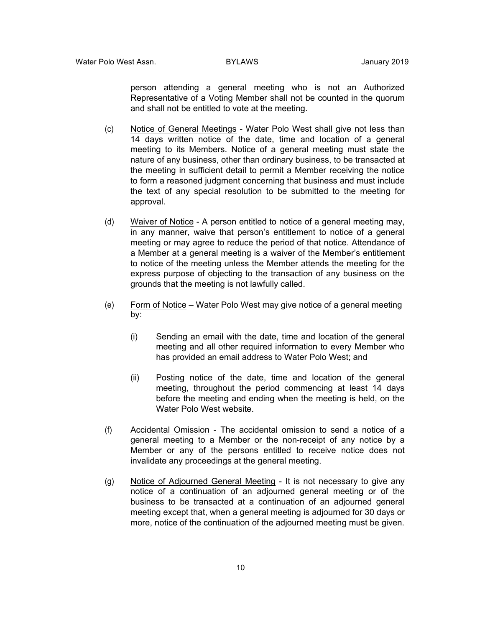person attending a general meeting who is not an Authorized Representative of a Voting Member shall not be counted in the quorum and shall not be entitled to vote at the meeting.

- (c) Notice of General Meetings Water Polo West shall give not less than 14 days written notice of the date, time and location of a general meeting to its Members. Notice of a general meeting must state the nature of any business, other than ordinary business, to be transacted at the meeting in sufficient detail to permit a Member receiving the notice to form a reasoned judgment concerning that business and must include the text of any special resolution to be submitted to the meeting for approval.
- (d) Waiver of Notice A person entitled to notice of a general meeting may, in any manner, waive that person's entitlement to notice of a general meeting or may agree to reduce the period of that notice. Attendance of a Member at a general meeting is a waiver of the Member's entitlement to notice of the meeting unless the Member attends the meeting for the express purpose of objecting to the transaction of any business on the grounds that the meeting is not lawfully called.
- (e) Form of Notice Water Polo West may give notice of a general meeting by:
	- (i) Sending an email with the date, time and location of the general meeting and all other required information to every Member who has provided an email address to Water Polo West; and
	- (ii) Posting notice of the date, time and location of the general meeting, throughout the period commencing at least 14 days before the meeting and ending when the meeting is held, on the Water Polo West website.
- (f) Accidental Omission The accidental omission to send a notice of a general meeting to a Member or the non-receipt of any notice by a Member or any of the persons entitled to receive notice does not invalidate any proceedings at the general meeting.
- (g) Notice of Adjourned General Meeting It is not necessary to give any notice of a continuation of an adjourned general meeting or of the business to be transacted at a continuation of an adjourned general meeting except that, when a general meeting is adjourned for 30 days or more, notice of the continuation of the adjourned meeting must be given.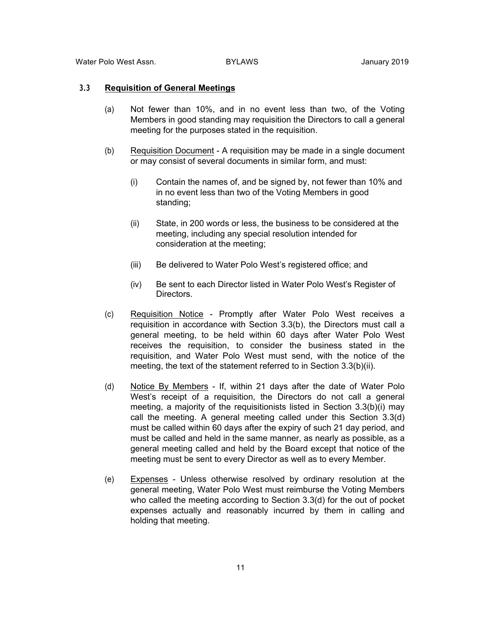Water Polo West Assn. BYLAWS January 2019

### **3.3 Requisition of General Meetings**

- (a) Not fewer than 10%, and in no event less than two, of the Voting Members in good standing may requisition the Directors to call a general meeting for the purposes stated in the requisition.
- (b) Requisition Document A requisition may be made in a single document or may consist of several documents in similar form, and must:
	- (i) Contain the names of, and be signed by, not fewer than 10% and in no event less than two of the Voting Members in good standing;
	- (ii) State, in 200 words or less, the business to be considered at the meeting, including any special resolution intended for consideration at the meeting;
	- (iii) Be delivered to Water Polo West's registered office; and
	- (iv) Be sent to each Director listed in Water Polo West's Register of Directors.
- (c) Requisition Notice Promptly after Water Polo West receives a requisition in accordance with Section 3.3(b), the Directors must call a general meeting, to be held within 60 days after Water Polo West receives the requisition, to consider the business stated in the requisition, and Water Polo West must send, with the notice of the meeting, the text of the statement referred to in Section 3.3(b)(ii).
- (d) Notice By Members If, within 21 days after the date of Water Polo West's receipt of a requisition, the Directors do not call a general meeting, a majority of the requisitionists listed in Section 3.3(b)(i) may call the meeting. A general meeting called under this Section 3.3(d) must be called within 60 days after the expiry of such 21 day period, and must be called and held in the same manner, as nearly as possible, as a general meeting called and held by the Board except that notice of the meeting must be sent to every Director as well as to every Member.
- (e) Expenses Unless otherwise resolved by ordinary resolution at the general meeting, Water Polo West must reimburse the Voting Members who called the meeting according to Section 3.3(d) for the out of pocket expenses actually and reasonably incurred by them in calling and holding that meeting.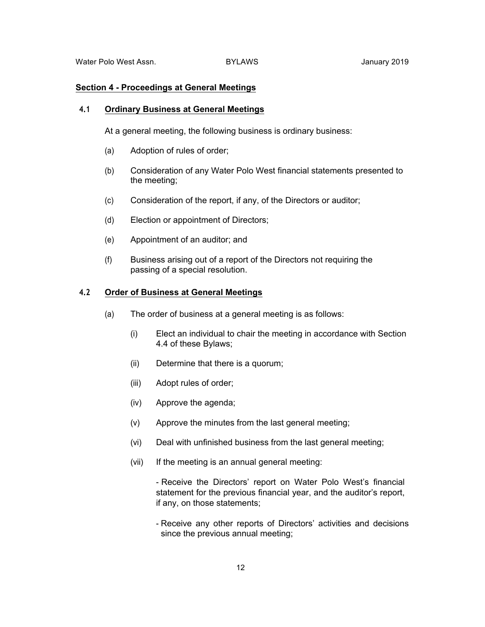### **Section 4 - Proceedings at General Meetings**

#### **4.1 Ordinary Business at General Meetings**

At a general meeting, the following business is ordinary business:

- (a) Adoption of rules of order;
- (b) Consideration of any Water Polo West financial statements presented to the meeting;
- (c) Consideration of the report, if any, of the Directors or auditor;
- (d) Election or appointment of Directors;
- (e) Appointment of an auditor; and
- (f) Business arising out of a report of the Directors not requiring the passing of a special resolution.

### **4.2 Order of Business at General Meetings**

- (a) The order of business at a general meeting is as follows:
	- (i) Elect an individual to chair the meeting in accordance with Section 4.4 of these Bylaws;
	- (ii) Determine that there is a quorum;
	- (iii) Adopt rules of order;
	- (iv) Approve the agenda;
	- (v) Approve the minutes from the last general meeting;
	- (vi) Deal with unfinished business from the last general meeting;
	- (vii) If the meeting is an annual general meeting:
		- Receive the Directors' report on Water Polo West's financial statement for the previous financial year, and the auditor's report, if any, on those statements;
		- Receive any other reports of Directors' activities and decisions since the previous annual meeting;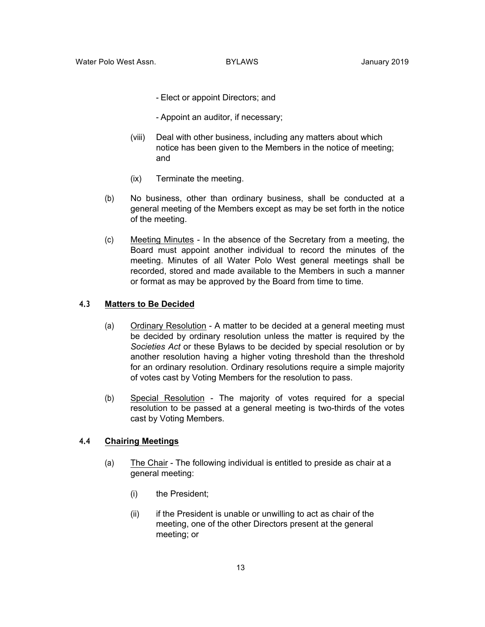- Elect or appoint Directors; and
- Appoint an auditor, if necessary;
- (viii) Deal with other business, including any matters about which notice has been given to the Members in the notice of meeting; and
- (ix) Terminate the meeting.
- (b) No business, other than ordinary business, shall be conducted at a general meeting of the Members except as may be set forth in the notice of the meeting.
- (c) Meeting Minutes In the absence of the Secretary from a meeting, the Board must appoint another individual to record the minutes of the meeting. Minutes of all Water Polo West general meetings shall be recorded, stored and made available to the Members in such a manner or format as may be approved by the Board from time to time.

### **4.3 Matters to Be Decided**

- (a) Ordinary Resolution A matter to be decided at a general meeting must be decided by ordinary resolution unless the matter is required by the *Societies Act* or these Bylaws to be decided by special resolution or by another resolution having a higher voting threshold than the threshold for an ordinary resolution. Ordinary resolutions require a simple majority of votes cast by Voting Members for the resolution to pass.
- (b) Special Resolution The majority of votes required for a special resolution to be passed at a general meeting is two-thirds of the votes cast by Voting Members.

#### **4.4 Chairing Meetings**

- (a) The Chair The following individual is entitled to preside as chair at a general meeting:
	- (i) the President;
	- (ii) if the President is unable or unwilling to act as chair of the meeting, one of the other Directors present at the general meeting; or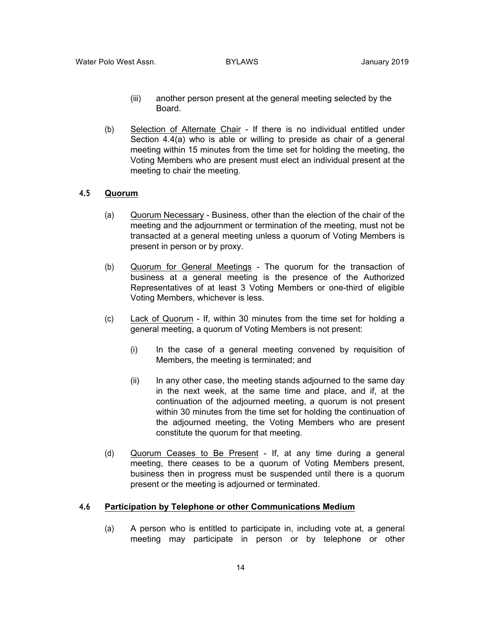- (iii) another person present at the general meeting selected by the Board.
- (b) Selection of Alternate Chair If there is no individual entitled under Section 4.4(a) who is able or willing to preside as chair of a general meeting within 15 minutes from the time set for holding the meeting, the Voting Members who are present must elect an individual present at the meeting to chair the meeting.

### **4.5 Quorum**

- (a) Quorum Necessary Business, other than the election of the chair of the meeting and the adjournment or termination of the meeting, must not be transacted at a general meeting unless a quorum of Voting Members is present in person or by proxy.
- (b) Quorum for General Meetings The quorum for the transaction of business at a general meeting is the presence of the Authorized Representatives of at least 3 Voting Members or one-third of eligible Voting Members, whichever is less.
- (c) Lack of Quorum If, within 30 minutes from the time set for holding a general meeting, a quorum of Voting Members is not present:
	- (i) In the case of a general meeting convened by requisition of Members, the meeting is terminated; and
	- (ii) In any other case, the meeting stands adjourned to the same day in the next week, at the same time and place, and if, at the continuation of the adjourned meeting, a quorum is not present within 30 minutes from the time set for holding the continuation of the adjourned meeting, the Voting Members who are present constitute the quorum for that meeting.
- (d) Quorum Ceases to Be Present If, at any time during a general meeting, there ceases to be a quorum of Voting Members present, business then in progress must be suspended until there is a quorum present or the meeting is adjourned or terminated.

### **4.6 Participation by Telephone or other Communications Medium**

(a) A person who is entitled to participate in, including vote at, a general meeting may participate in person or by telephone or other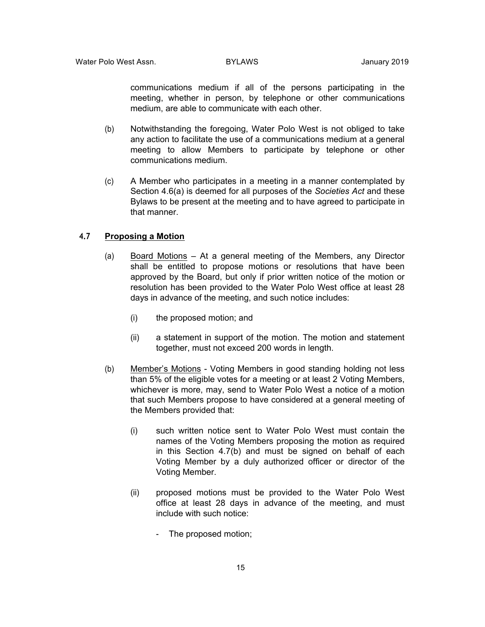communications medium if all of the persons participating in the meeting, whether in person, by telephone or other communications medium, are able to communicate with each other.

- (b) Notwithstanding the foregoing, Water Polo West is not obliged to take any action to facilitate the use of a communications medium at a general meeting to allow Members to participate by telephone or other communications medium.
- (c) A Member who participates in a meeting in a manner contemplated by Section 4.6(a) is deemed for all purposes of the *Societies Act* and these Bylaws to be present at the meeting and to have agreed to participate in that manner.

#### **4.7 Proposing a Motion**

- (a) Board Motions At a general meeting of the Members, any Director shall be entitled to propose motions or resolutions that have been approved by the Board, but only if prior written notice of the motion or resolution has been provided to the Water Polo West office at least 28 days in advance of the meeting, and such notice includes:
	- (i) the proposed motion; and
	- (ii) a statement in support of the motion. The motion and statement together, must not exceed 200 words in length.
- (b) Member's Motions Voting Members in good standing holding not less than 5% of the eligible votes for a meeting or at least 2 Voting Members, whichever is more, may, send to Water Polo West a notice of a motion that such Members propose to have considered at a general meeting of the Members provided that:
	- (i) such written notice sent to Water Polo West must contain the names of the Voting Members proposing the motion as required in this Section 4.7(b) and must be signed on behalf of each Voting Member by a duly authorized officer or director of the Voting Member.
	- (ii) proposed motions must be provided to the Water Polo West office at least 28 days in advance of the meeting, and must include with such notice:
		- The proposed motion;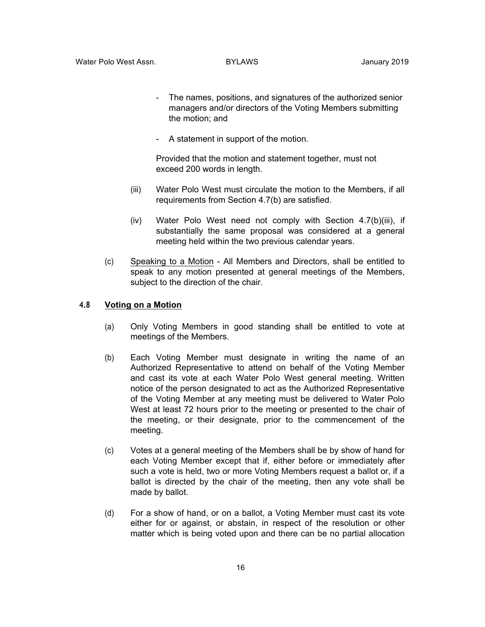- The names, positions, and signatures of the authorized senior managers and/or directors of the Voting Members submitting the motion; and
- A statement in support of the motion.

Provided that the motion and statement together, must not exceed 200 words in length.

- (iii) Water Polo West must circulate the motion to the Members, if all requirements from Section 4.7(b) are satisfied.
- (iv) Water Polo West need not comply with Section 4.7(b)(iii), if substantially the same proposal was considered at a general meeting held within the two previous calendar years.
- (c) Speaking to a Motion All Members and Directors, shall be entitled to speak to any motion presented at general meetings of the Members, subject to the direction of the chair.

### **4.8 Voting on a Motion**

- (a) Only Voting Members in good standing shall be entitled to vote at meetings of the Members.
- (b) Each Voting Member must designate in writing the name of an Authorized Representative to attend on behalf of the Voting Member and cast its vote at each Water Polo West general meeting. Written notice of the person designated to act as the Authorized Representative of the Voting Member at any meeting must be delivered to Water Polo West at least 72 hours prior to the meeting or presented to the chair of the meeting, or their designate, prior to the commencement of the meeting.
- (c) Votes at a general meeting of the Members shall be by show of hand for each Voting Member except that if, either before or immediately after such a vote is held, two or more Voting Members request a ballot or, if a ballot is directed by the chair of the meeting, then any vote shall be made by ballot.
- (d) For a show of hand, or on a ballot, a Voting Member must cast its vote either for or against, or abstain, in respect of the resolution or other matter which is being voted upon and there can be no partial allocation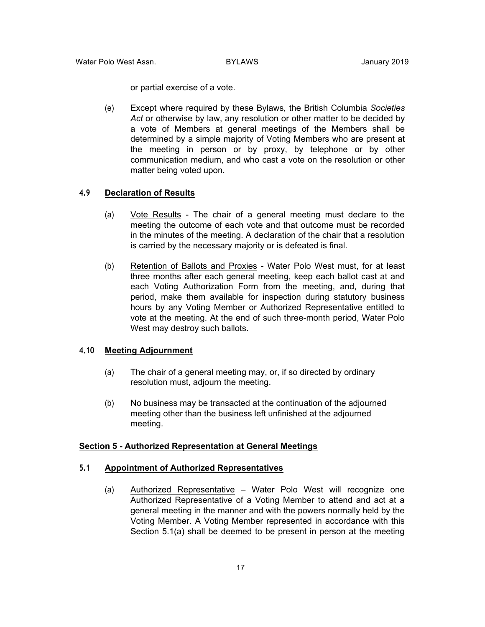or partial exercise of a vote.

(e) Except where required by these Bylaws, the British Columbia *Societies Act* or otherwise by law, any resolution or other matter to be decided by a vote of Members at general meetings of the Members shall be determined by a simple majority of Voting Members who are present at the meeting in person or by proxy, by telephone or by other communication medium, and who cast a vote on the resolution or other matter being voted upon.

#### **4.9 Declaration of Results**

- (a) Vote Results The chair of a general meeting must declare to the meeting the outcome of each vote and that outcome must be recorded in the minutes of the meeting. A declaration of the chair that a resolution is carried by the necessary majority or is defeated is final.
- (b) Retention of Ballots and Proxies Water Polo West must, for at least three months after each general meeting, keep each ballot cast at and each Voting Authorization Form from the meeting, and, during that period, make them available for inspection during statutory business hours by any Voting Member or Authorized Representative entitled to vote at the meeting. At the end of such three-month period, Water Polo West may destroy such ballots.

#### **4.10 Meeting Adjournment**

- (a) The chair of a general meeting may, or, if so directed by ordinary resolution must, adjourn the meeting.
- (b) No business may be transacted at the continuation of the adjourned meeting other than the business left unfinished at the adjourned meeting.

#### **Section 5 - Authorized Representation at General Meetings**

#### **5.1 Appointment of Authorized Representatives**

(a) Authorized Representative – Water Polo West will recognize one Authorized Representative of a Voting Member to attend and act at a general meeting in the manner and with the powers normally held by the Voting Member. A Voting Member represented in accordance with this Section 5.1(a) shall be deemed to be present in person at the meeting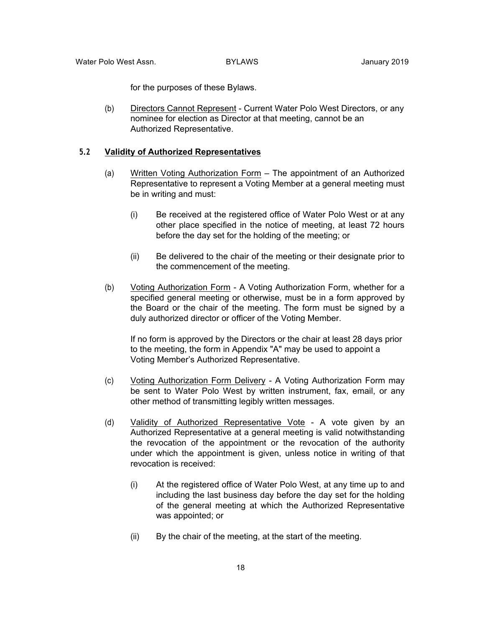for the purposes of these Bylaws.

(b) Directors Cannot Represent - Current Water Polo West Directors, or any nominee for election as Director at that meeting, cannot be an Authorized Representative.

### **5.2 Validity of Authorized Representatives**

- (a) Written Voting Authorization Form The appointment of an Authorized Representative to represent a Voting Member at a general meeting must be in writing and must:
	- (i) Be received at the registered office of Water Polo West or at any other place specified in the notice of meeting, at least 72 hours before the day set for the holding of the meeting; or
	- (ii) Be delivered to the chair of the meeting or their designate prior to the commencement of the meeting.
- (b) Voting Authorization Form A Voting Authorization Form, whether for a specified general meeting or otherwise, must be in a form approved by the Board or the chair of the meeting. The form must be signed by a duly authorized director or officer of the Voting Member.

If no form is approved by the Directors or the chair at least 28 days prior to the meeting, the form in Appendix "A" may be used to appoint a Voting Member's Authorized Representative.

- (c) Voting Authorization Form Delivery A Voting Authorization Form may be sent to Water Polo West by written instrument, fax, email, or any other method of transmitting legibly written messages.
- (d) Validity of Authorized Representative Vote A vote given by an Authorized Representative at a general meeting is valid notwithstanding the revocation of the appointment or the revocation of the authority under which the appointment is given, unless notice in writing of that revocation is received:
	- (i) At the registered office of Water Polo West, at any time up to and including the last business day before the day set for the holding of the general meeting at which the Authorized Representative was appointed; or
	- (ii) By the chair of the meeting, at the start of the meeting.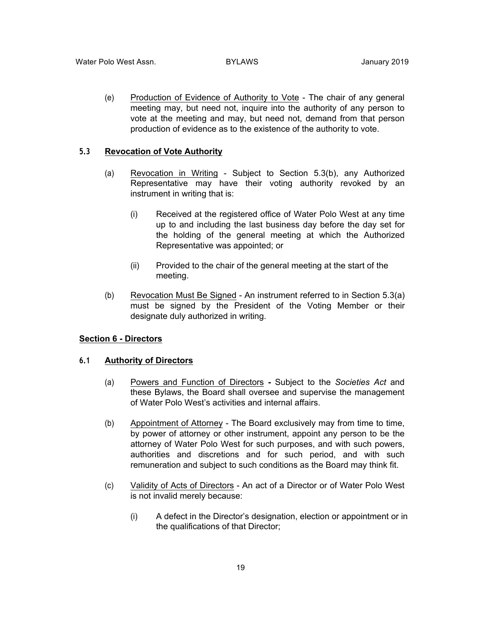(e) Production of Evidence of Authority to Vote - The chair of any general meeting may, but need not, inquire into the authority of any person to vote at the meeting and may, but need not, demand from that person production of evidence as to the existence of the authority to vote.

#### **5.3 Revocation of Vote Authority**

- (a) Revocation in Writing Subject to Section 5.3(b), any Authorized Representative may have their voting authority revoked by an instrument in writing that is:
	- (i) Received at the registered office of Water Polo West at any time up to and including the last business day before the day set for the holding of the general meeting at which the Authorized Representative was appointed; or
	- (ii) Provided to the chair of the general meeting at the start of the meeting.
- (b) Revocation Must Be Signed An instrument referred to in Section 5.3(a) must be signed by the President of the Voting Member or their designate duly authorized in writing.

#### **Section 6 - Directors**

#### **6.1 Authority of Directors**

- (a) Powers and Function of Directors **-** Subject to the *Societies Act* and these Bylaws, the Board shall oversee and supervise the management of Water Polo West's activities and internal affairs.
- (b) Appointment of Attorney The Board exclusively may from time to time, by power of attorney or other instrument, appoint any person to be the attorney of Water Polo West for such purposes, and with such powers, authorities and discretions and for such period, and with such remuneration and subject to such conditions as the Board may think fit.
- (c) Validity of Acts of Directors An act of a Director or of Water Polo West is not invalid merely because:
	- (i) A defect in the Director's designation, election or appointment or in the qualifications of that Director;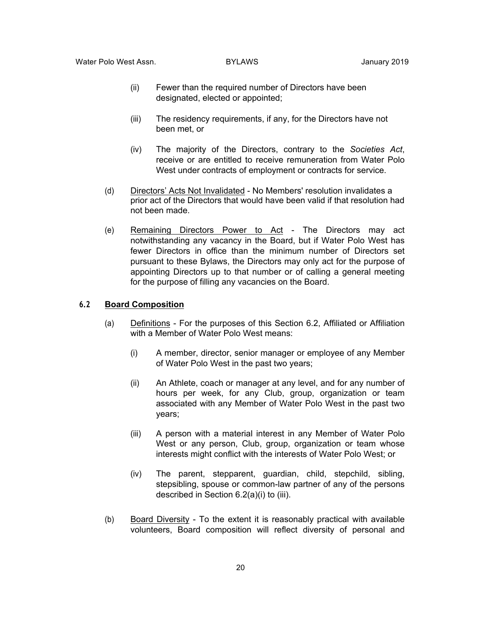- (ii) Fewer than the required number of Directors have been designated, elected or appointed;
- (iii) The residency requirements, if any, for the Directors have not been met, or
- (iv) The majority of the Directors, contrary to the *Societies Act*, receive or are entitled to receive remuneration from Water Polo West under contracts of employment or contracts for service.
- (d) Directors' Acts Not Invalidated No Members' resolution invalidates a prior act of the Directors that would have been valid if that resolution had not been made.
- (e) Remaining Directors Power to Act The Directors may act notwithstanding any vacancy in the Board, but if Water Polo West has fewer Directors in office than the minimum number of Directors set pursuant to these Bylaws, the Directors may only act for the purpose of appointing Directors up to that number or of calling a general meeting for the purpose of filling any vacancies on the Board.

#### **6.2 Board Composition**

- (a) Definitions For the purposes of this Section 6.2, Affiliated or Affiliation with a Member of Water Polo West means:
	- (i) A member, director, senior manager or employee of any Member of Water Polo West in the past two years;
	- (ii) An Athlete, coach or manager at any level, and for any number of hours per week, for any Club, group, organization or team associated with any Member of Water Polo West in the past two years;
	- (iii) A person with a material interest in any Member of Water Polo West or any person, Club, group, organization or team whose interests might conflict with the interests of Water Polo West; or
	- (iv) The parent, stepparent, guardian, child, stepchild, sibling, stepsibling, spouse or common-law partner of any of the persons described in Section 6.2(a)(i) to (iii).
- (b) Board Diversity To the extent it is reasonably practical with available volunteers, Board composition will reflect diversity of personal and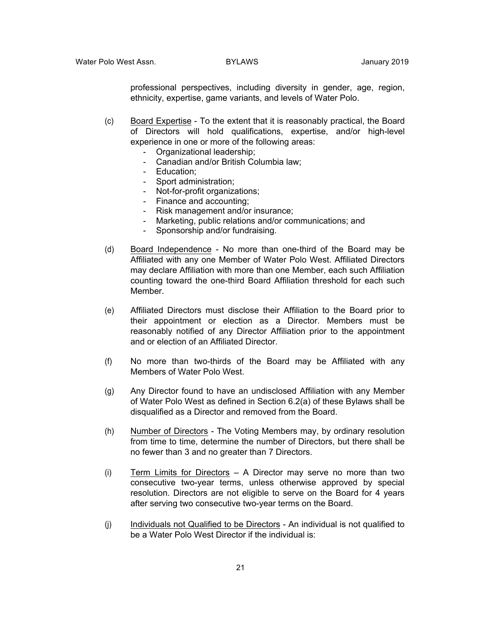professional perspectives, including diversity in gender, age, region, ethnicity, expertise, game variants, and levels of Water Polo.

- (c) Board Expertise To the extent that it is reasonably practical, the Board of Directors will hold qualifications, expertise, and/or high-level experience in one or more of the following areas:
	- Organizational leadership;
	- Canadian and/or British Columbia law;
	- Education;
	- Sport administration;
	- Not-for-profit organizations;
	- Finance and accounting;
	- Risk management and/or insurance;
	- Marketing, public relations and/or communications; and
	- Sponsorship and/or fundraising.
- (d) Board Independence No more than one-third of the Board may be Affiliated with any one Member of Water Polo West. Affiliated Directors may declare Affiliation with more than one Member, each such Affiliation counting toward the one-third Board Affiliation threshold for each such Member.
- (e) Affiliated Directors must disclose their Affiliation to the Board prior to their appointment or election as a Director. Members must be reasonably notified of any Director Affiliation prior to the appointment and or election of an Affiliated Director.
- (f) No more than two-thirds of the Board may be Affiliated with any Members of Water Polo West.
- (g) Any Director found to have an undisclosed Affiliation with any Member of Water Polo West as defined in Section 6.2(a) of these Bylaws shall be disqualified as a Director and removed from the Board.
- (h) Number of Directors The Voting Members may, by ordinary resolution from time to time, determine the number of Directors, but there shall be no fewer than 3 and no greater than 7 Directors.
- (i) Term Limits for Directors A Director may serve no more than two consecutive two-year terms, unless otherwise approved by special resolution. Directors are not eligible to serve on the Board for 4 years after serving two consecutive two-year terms on the Board.
- (j) Individuals not Qualified to be Directors An individual is not qualified to be a Water Polo West Director if the individual is: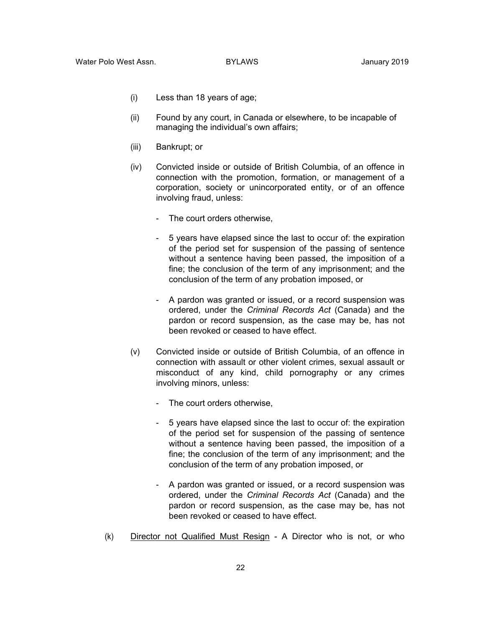- (i) Less than 18 years of age;
- (ii) Found by any court, in Canada or elsewhere, to be incapable of managing the individual's own affairs;
- (iii) Bankrupt; or
- (iv) Convicted inside or outside of British Columbia, of an offence in connection with the promotion, formation, or management of a corporation, society or unincorporated entity, or of an offence involving fraud, unless:
	- The court orders otherwise,
	- 5 years have elapsed since the last to occur of: the expiration of the period set for suspension of the passing of sentence without a sentence having been passed, the imposition of a fine; the conclusion of the term of any imprisonment; and the conclusion of the term of any probation imposed, or
	- A pardon was granted or issued, or a record suspension was ordered, under the *Criminal Records Act* (Canada) and the pardon or record suspension, as the case may be, has not been revoked or ceased to have effect.
- (v) Convicted inside or outside of British Columbia, of an offence in connection with assault or other violent crimes, sexual assault or misconduct of any kind, child pornography or any crimes involving minors, unless:
	- The court orders otherwise,
	- 5 years have elapsed since the last to occur of: the expiration of the period set for suspension of the passing of sentence without a sentence having been passed, the imposition of a fine; the conclusion of the term of any imprisonment; and the conclusion of the term of any probation imposed, or
	- A pardon was granted or issued, or a record suspension was ordered, under the *Criminal Records Act* (Canada) and the pardon or record suspension, as the case may be, has not been revoked or ceased to have effect.
- (k) Director not Qualified Must Resign A Director who is not, or who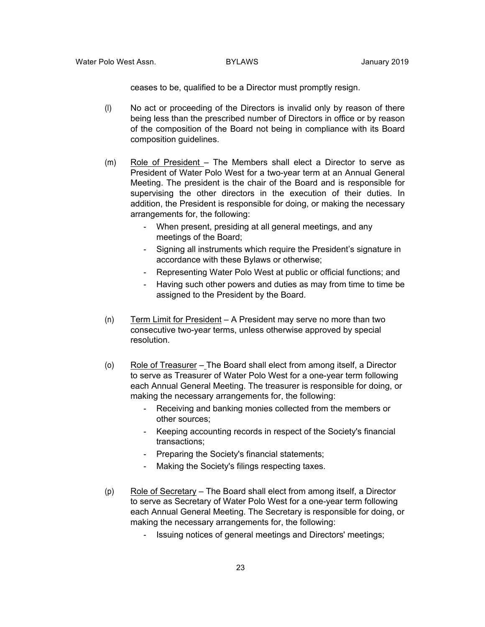ceases to be, qualified to be a Director must promptly resign.

- (l) No act or proceeding of the Directors is invalid only by reason of there being less than the prescribed number of Directors in office or by reason of the composition of the Board not being in compliance with its Board composition guidelines.
- (m) Role of President The Members shall elect a Director to serve as President of Water Polo West for a two-year term at an Annual General Meeting. The president is the chair of the Board and is responsible for supervising the other directors in the execution of their duties. In addition, the President is responsible for doing, or making the necessary arrangements for, the following:
	- When present, presiding at all general meetings, and any meetings of the Board;
	- Signing all instruments which require the President's signature in accordance with these Bylaws or otherwise;
	- Representing Water Polo West at public or official functions; and
	- Having such other powers and duties as may from time to time be assigned to the President by the Board.
- (n) Term Limit for President A President may serve no more than two consecutive two-year terms, unless otherwise approved by special resolution.
- (o) Role of Treasurer The Board shall elect from among itself, a Director to serve as Treasurer of Water Polo West for a one-year term following each Annual General Meeting. The treasurer is responsible for doing, or making the necessary arrangements for, the following:
	- Receiving and banking monies collected from the members or other sources;
	- Keeping accounting records in respect of the Society's financial transactions;
	- Preparing the Society's financial statements;
	- Making the Society's filings respecting taxes.
- (p) Role of Secretary The Board shall elect from among itself, a Director to serve as Secretary of Water Polo West for a one-year term following each Annual General Meeting. The Secretary is responsible for doing, or making the necessary arrangements for, the following:
	- Issuing notices of general meetings and Directors' meetings;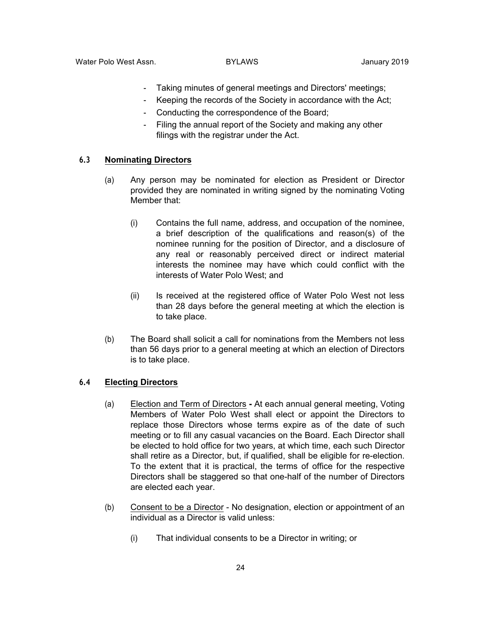- Taking minutes of general meetings and Directors' meetings;
- Keeping the records of the Society in accordance with the Act;
- Conducting the correspondence of the Board;
- Filing the annual report of the Society and making any other filings with the registrar under the Act.

#### **6.3 Nominating Directors**

- (a) Any person may be nominated for election as President or Director provided they are nominated in writing signed by the nominating Voting Member that:
	- (i) Contains the full name, address, and occupation of the nominee, a brief description of the qualifications and reason(s) of the nominee running for the position of Director, and a disclosure of any real or reasonably perceived direct or indirect material interests the nominee may have which could conflict with the interests of Water Polo West; and
	- (ii) Is received at the registered office of Water Polo West not less than 28 days before the general meeting at which the election is to take place.
- (b) The Board shall solicit a call for nominations from the Members not less than 56 days prior to a general meeting at which an election of Directors is to take place.

#### **6.4 Electing Directors**

- (a) Election and Term of Directors **-** At each annual general meeting, Voting Members of Water Polo West shall elect or appoint the Directors to replace those Directors whose terms expire as of the date of such meeting or to fill any casual vacancies on the Board. Each Director shall be elected to hold office for two years, at which time, each such Director shall retire as a Director, but, if qualified, shall be eligible for re-election. To the extent that it is practical, the terms of office for the respective Directors shall be staggered so that one-half of the number of Directors are elected each year.
- (b) Consent to be a Director No designation, election or appointment of an individual as a Director is valid unless:
	- (i) That individual consents to be a Director in writing; or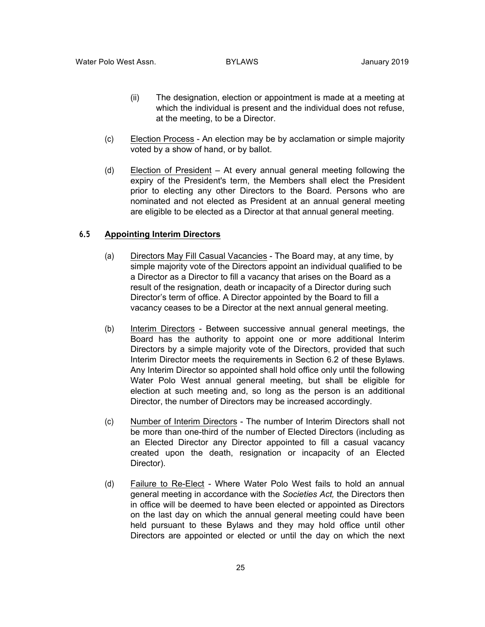- (ii) The designation, election or appointment is made at a meeting at which the individual is present and the individual does not refuse, at the meeting, to be a Director.
- (c) Election Process An election may be by acclamation or simple majority voted by a show of hand, or by ballot.
- (d) Election of President At every annual general meeting following the expiry of the President's term, the Members shall elect the President prior to electing any other Directors to the Board. Persons who are nominated and not elected as President at an annual general meeting are eligible to be elected as a Director at that annual general meeting.

### **6.5 Appointing Interim Directors**

- (a) Directors May Fill Casual Vacancies The Board may, at any time, by simple majority vote of the Directors appoint an individual qualified to be a Director as a Director to fill a vacancy that arises on the Board as a result of the resignation, death or incapacity of a Director during such Director's term of office. A Director appointed by the Board to fill a vacancy ceases to be a Director at the next annual general meeting.
- (b) Interim Directors Between successive annual general meetings, the Board has the authority to appoint one or more additional Interim Directors by a simple majority vote of the Directors, provided that such Interim Director meets the requirements in Section 6.2 of these Bylaws. Any Interim Director so appointed shall hold office only until the following Water Polo West annual general meeting, but shall be eligible for election at such meeting and, so long as the person is an additional Director, the number of Directors may be increased accordingly.
- (c) Number of Interim Directors The number of Interim Directors shall not be more than one-third of the number of Elected Directors (including as an Elected Director any Director appointed to fill a casual vacancy created upon the death, resignation or incapacity of an Elected Director).
- (d) Failure to Re-Elect Where Water Polo West fails to hold an annual general meeting in accordance with the *Societies Act,* the Directors then in office will be deemed to have been elected or appointed as Directors on the last day on which the annual general meeting could have been held pursuant to these Bylaws and they may hold office until other Directors are appointed or elected or until the day on which the next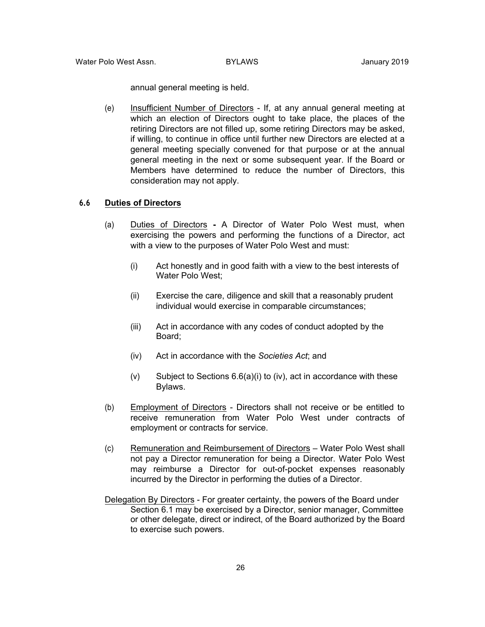annual general meeting is held.

(e) Insufficient Number of Directors - If, at any annual general meeting at which an election of Directors ought to take place, the places of the retiring Directors are not filled up, some retiring Directors may be asked, if willing, to continue in office until further new Directors are elected at a general meeting specially convened for that purpose or at the annual general meeting in the next or some subsequent year. If the Board or Members have determined to reduce the number of Directors, this consideration may not apply.

#### **6.6 Duties of Directors**

- (a) Duties of Directors **-** A Director of Water Polo West must, when exercising the powers and performing the functions of a Director, act with a view to the purposes of Water Polo West and must:
	- (i) Act honestly and in good faith with a view to the best interests of Water Polo West;
	- (ii) Exercise the care, diligence and skill that a reasonably prudent individual would exercise in comparable circumstances;
	- (iii) Act in accordance with any codes of conduct adopted by the Board;
	- (iv) Act in accordance with the *Societies Act*; and
	- $(v)$  Subject to Sections 6.6(a)(i) to (iv), act in accordance with these Bylaws.
- (b) Employment of Directors Directors shall not receive or be entitled to receive remuneration from Water Polo West under contracts of employment or contracts for service.
- (c) Remuneration and Reimbursement of Directors Water Polo West shall not pay a Director remuneration for being a Director. Water Polo West may reimburse a Director for out-of-pocket expenses reasonably incurred by the Director in performing the duties of a Director.
- Delegation By Directors For greater certainty, the powers of the Board under Section 6.1 may be exercised by a Director, senior manager, Committee or other delegate, direct or indirect, of the Board authorized by the Board to exercise such powers.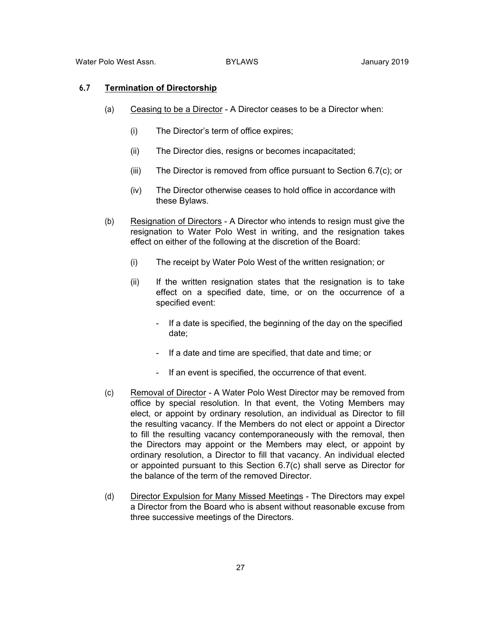### **6.7 Termination of Directorship**

- (a) Ceasing to be a Director A Director ceases to be a Director when:
	- (i) The Director's term of office expires;
	- (ii) The Director dies, resigns or becomes incapacitated;
	- (iii) The Director is removed from office pursuant to Section 6.7(c); or
	- (iv) The Director otherwise ceases to hold office in accordance with these Bylaws.
- (b) Resignation of Directors A Director who intends to resign must give the resignation to Water Polo West in writing, and the resignation takes effect on either of the following at the discretion of the Board:
	- (i) The receipt by Water Polo West of the written resignation; or
	- (ii) If the written resignation states that the resignation is to take effect on a specified date, time, or on the occurrence of a specified event:
		- If a date is specified, the beginning of the day on the specified date;
		- If a date and time are specified, that date and time; or
		- If an event is specified, the occurrence of that event.
- (c) Removal of Director A Water Polo West Director may be removed from office by special resolution. In that event, the Voting Members may elect, or appoint by ordinary resolution, an individual as Director to fill the resulting vacancy. If the Members do not elect or appoint a Director to fill the resulting vacancy contemporaneously with the removal, then the Directors may appoint or the Members may elect, or appoint by ordinary resolution, a Director to fill that vacancy. An individual elected or appointed pursuant to this Section 6.7(c) shall serve as Director for the balance of the term of the removed Director.
- (d) Director Expulsion for Many Missed Meetings The Directors may expel a Director from the Board who is absent without reasonable excuse from three successive meetings of the Directors.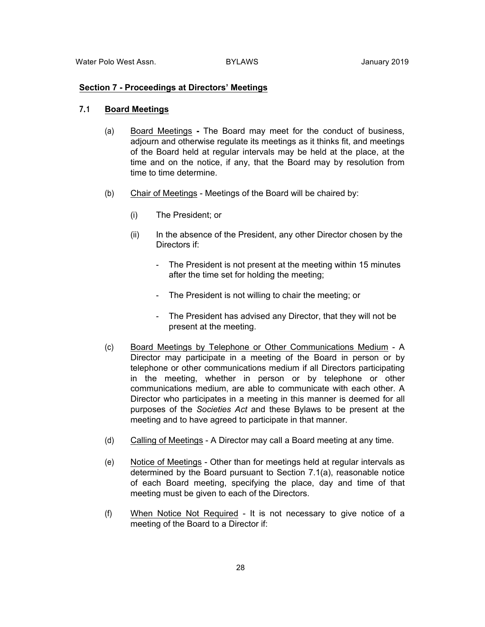#### **Section 7 - Proceedings at Directors' Meetings**

### **7.1 Board Meetings**

- (a) Board Meetings **-** The Board may meet for the conduct of business, adjourn and otherwise regulate its meetings as it thinks fit, and meetings of the Board held at regular intervals may be held at the place, at the time and on the notice, if any, that the Board may by resolution from time to time determine.
- (b) Chair of Meetings Meetings of the Board will be chaired by:
	- (i) The President; or
	- (ii) In the absence of the President, any other Director chosen by the Directors if:
		- The President is not present at the meeting within 15 minutes after the time set for holding the meeting;
		- The President is not willing to chair the meeting; or
		- The President has advised any Director, that they will not be present at the meeting.
- (c) Board Meetings by Telephone or Other Communications Medium A Director may participate in a meeting of the Board in person or by telephone or other communications medium if all Directors participating in the meeting, whether in person or by telephone or other communications medium, are able to communicate with each other. A Director who participates in a meeting in this manner is deemed for all purposes of the *Societies Act* and these Bylaws to be present at the meeting and to have agreed to participate in that manner.
- (d) Calling of Meetings A Director may call a Board meeting at any time.
- (e) Notice of Meetings Other than for meetings held at regular intervals as determined by the Board pursuant to Section 7.1(a), reasonable notice of each Board meeting, specifying the place, day and time of that meeting must be given to each of the Directors.
- (f) When Notice Not Required It is not necessary to give notice of a meeting of the Board to a Director if: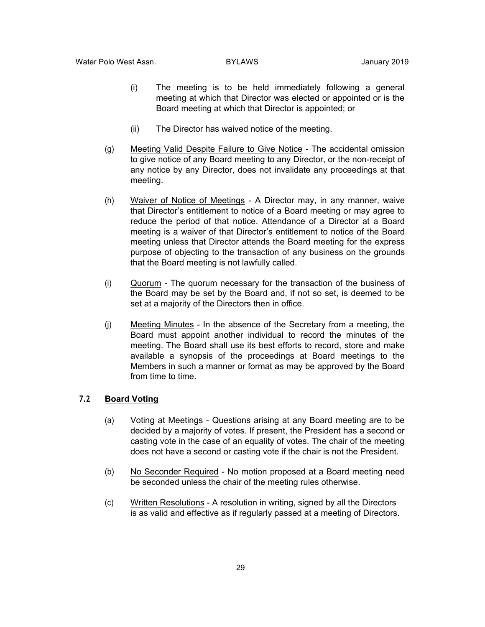- (i) The meeting is to be held immediately following a general meeting at which that Director was elected or appointed or is the Board meeting at which that Director is appointed; or
- (ii) The Director has waived notice of the meeting.
- (g) Meeting Valid Despite Failure to Give Notice The accidental omission to give notice of any Board meeting to any Director, or the non-receipt of any notice by any Director, does not invalidate any proceedings at that meeting.
- (h) Waiver of Notice of Meetings A Director may, in any manner, waive that Director's entitlement to notice of a Board meeting or may agree to reduce the period of that notice. Attendance of a Director at a Board meeting is a waiver of that Director's entitlement to notice of the Board meeting unless that Director attends the Board meeting for the express purpose of objecting to the transaction of any business on the grounds that the Board meeting is not lawfully called.
- (i) Quorum The quorum necessary for the transaction of the business of the Board may be set by the Board and, if not so set, is deemed to be set at a majority of the Directors then in office.
- (j) Meeting Minutes In the absence of the Secretary from a meeting, the Board must appoint another individual to record the minutes of the meeting. The Board shall use its best efforts to record, store and make available a synopsis of the proceedings at Board meetings to the Members in such a manner or format as may be approved by the Board from time to time.

#### **7.2 Board Voting**

- (a) Voting at Meetings Questions arising at any Board meeting are to be decided by a majority of votes. If present, the President has a second or casting vote in the case of an equality of votes. The chair of the meeting does not have a second or casting vote if the chair is not the President.
- (b) No Seconder Required No motion proposed at a Board meeting need be seconded unless the chair of the meeting rules otherwise.
- (c) Written Resolutions A resolution in writing, signed by all the Directors is as valid and effective as if regularly passed at a meeting of Directors.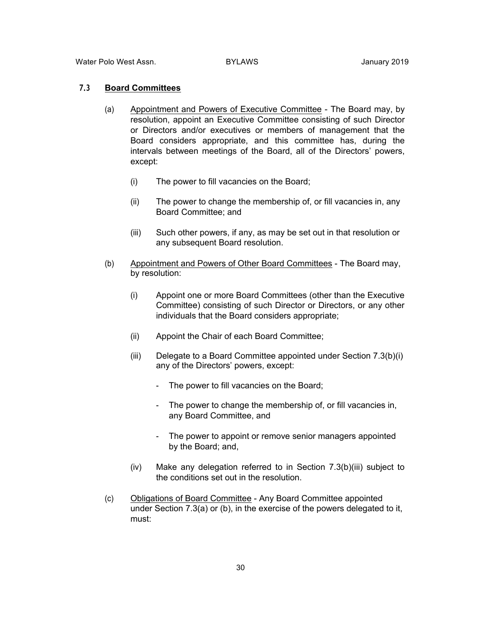### **7.3 Board Committees**

- (a) Appointment and Powers of Executive Committee The Board may, by resolution, appoint an Executive Committee consisting of such Director or Directors and/or executives or members of management that the Board considers appropriate, and this committee has, during the intervals between meetings of the Board, all of the Directors' powers, except:
	- (i) The power to fill vacancies on the Board;
	- (ii) The power to change the membership of, or fill vacancies in, any Board Committee; and
	- (iii) Such other powers, if any, as may be set out in that resolution or any subsequent Board resolution.
- (b) Appointment and Powers of Other Board Committees The Board may, by resolution:
	- (i) Appoint one or more Board Committees (other than the Executive Committee) consisting of such Director or Directors, or any other individuals that the Board considers appropriate;
	- (ii) Appoint the Chair of each Board Committee;
	- (iii) Delegate to a Board Committee appointed under Section 7.3(b)(i) any of the Directors' powers, except:
		- The power to fill vacancies on the Board;
		- The power to change the membership of, or fill vacancies in, any Board Committee, and
		- The power to appoint or remove senior managers appointed by the Board; and,
	- (iv) Make any delegation referred to in Section 7.3(b)(iii) subject to the conditions set out in the resolution.
- (c) Obligations of Board Committee Any Board Committee appointed under Section 7.3(a) or (b), in the exercise of the powers delegated to it, must: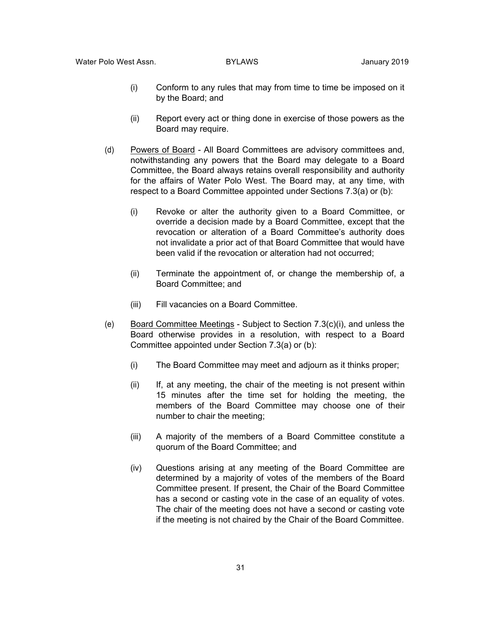- (i) Conform to any rules that may from time to time be imposed on it by the Board; and
- (ii) Report every act or thing done in exercise of those powers as the Board may require.
- (d) Powers of Board All Board Committees are advisory committees and, notwithstanding any powers that the Board may delegate to a Board Committee, the Board always retains overall responsibility and authority for the affairs of Water Polo West. The Board may, at any time, with respect to a Board Committee appointed under Sections 7.3(a) or (b):
	- (i) Revoke or alter the authority given to a Board Committee, or override a decision made by a Board Committee, except that the revocation or alteration of a Board Committee's authority does not invalidate a prior act of that Board Committee that would have been valid if the revocation or alteration had not occurred;
	- (ii) Terminate the appointment of, or change the membership of, a Board Committee; and
	- (iii) Fill vacancies on a Board Committee.
- (e) Board Committee Meetings Subject to Section 7.3(c)(i), and unless the Board otherwise provides in a resolution, with respect to a Board Committee appointed under Section 7.3(a) or (b):
	- (i) The Board Committee may meet and adjourn as it thinks proper;
	- (ii) If, at any meeting, the chair of the meeting is not present within 15 minutes after the time set for holding the meeting, the members of the Board Committee may choose one of their number to chair the meeting;
	- (iii) A majority of the members of a Board Committee constitute a quorum of the Board Committee; and
	- (iv) Questions arising at any meeting of the Board Committee are determined by a majority of votes of the members of the Board Committee present. If present, the Chair of the Board Committee has a second or casting vote in the case of an equality of votes. The chair of the meeting does not have a second or casting vote if the meeting is not chaired by the Chair of the Board Committee.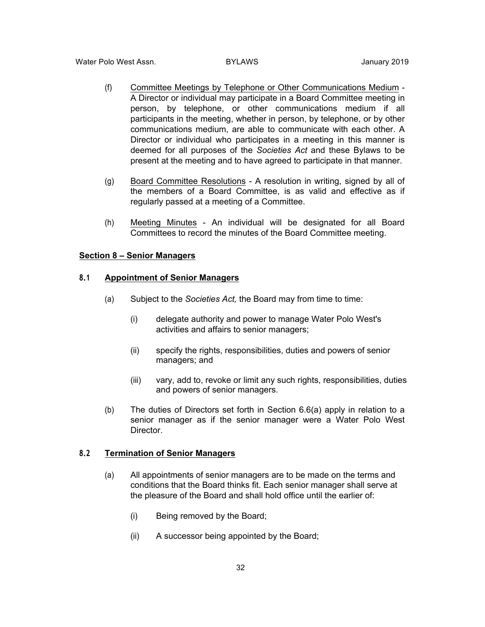- (f) Committee Meetings by Telephone or Other Communications Medium A Director or individual may participate in a Board Committee meeting in person, by telephone, or other communications medium if all participants in the meeting, whether in person, by telephone, or by other communications medium, are able to communicate with each other. A Director or individual who participates in a meeting in this manner is deemed for all purposes of the *Societies Act* and these Bylaws to be present at the meeting and to have agreed to participate in that manner.
- (g) Board Committee Resolutions A resolution in writing, signed by all of the members of a Board Committee, is as valid and effective as if regularly passed at a meeting of a Committee.
- (h) Meeting Minutes An individual will be designated for all Board Committees to record the minutes of the Board Committee meeting.

#### **Section 8 – Senior Managers**

### **8.1 Appointment of Senior Managers**

- (a) Subject to the *Societies Act,* the Board may from time to time:
	- (i) delegate authority and power to manage Water Polo West's activities and affairs to senior managers;
	- (ii) specify the rights, responsibilities, duties and powers of senior managers; and
	- (iii) vary, add to, revoke or limit any such rights, responsibilities, duties and powers of senior managers.
- (b) The duties of Directors set forth in Section 6.6(a) apply in relation to a senior manager as if the senior manager were a Water Polo West Director.

### **8.2 Termination of Senior Managers**

- (a) All appointments of senior managers are to be made on the terms and conditions that the Board thinks fit. Each senior manager shall serve at the pleasure of the Board and shall hold office until the earlier of:
	- (i) Being removed by the Board;
	- (ii) A successor being appointed by the Board;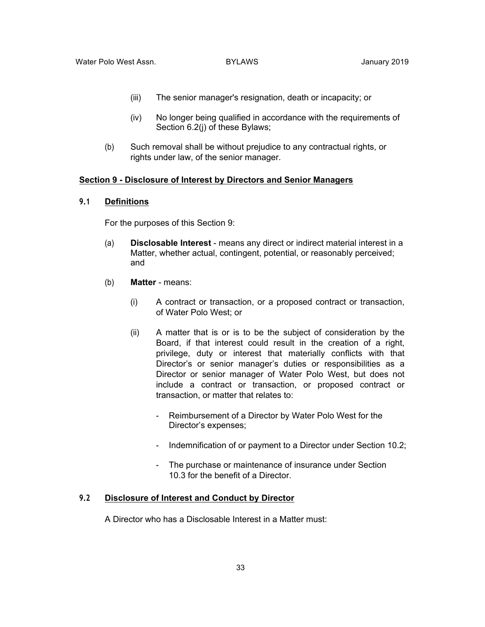- (iii) The senior manager's resignation, death or incapacity; or
- (iv) No longer being qualified in accordance with the requirements of Section 6.2(j) of these Bylaws;
- (b) Such removal shall be without prejudice to any contractual rights, or rights under law, of the senior manager.

#### **Section 9 - Disclosure of Interest by Directors and Senior Managers**

#### **9.1 Definitions**

For the purposes of this Section 9:

- (a) **Disclosable Interest** means any direct or indirect material interest in a Matter, whether actual, contingent, potential, or reasonably perceived; and
- (b) **Matter**  means:
	- (i) A contract or transaction, or a proposed contract or transaction, of Water Polo West; or
	- (ii) A matter that is or is to be the subject of consideration by the Board, if that interest could result in the creation of a right, privilege, duty or interest that materially conflicts with that Director's or senior manager's duties or responsibilities as a Director or senior manager of Water Polo West, but does not include a contract or transaction, or proposed contract or transaction, or matter that relates to:
		- Reimbursement of a Director by Water Polo West for the Director's expenses;
		- Indemnification of or payment to a Director under Section 10.2;
		- The purchase or maintenance of insurance under Section 10.3 for the benefit of a Director.

#### **9.2 Disclosure of Interest and Conduct by Director**

A Director who has a Disclosable Interest in a Matter must: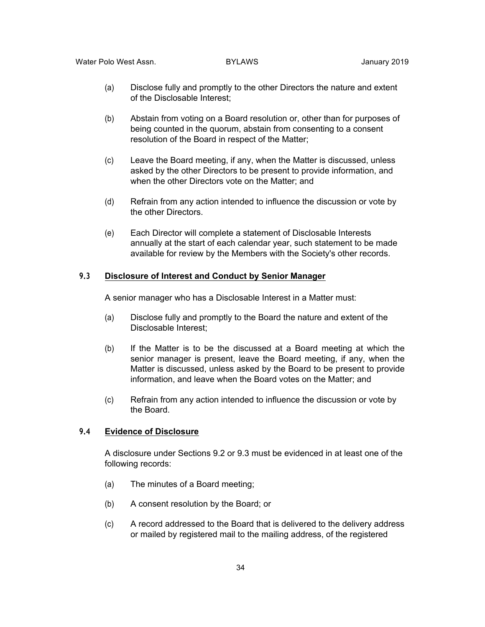- (a) Disclose fully and promptly to the other Directors the nature and extent of the Disclosable Interest;
- (b) Abstain from voting on a Board resolution or, other than for purposes of being counted in the quorum, abstain from consenting to a consent resolution of the Board in respect of the Matter;
- (c) Leave the Board meeting, if any, when the Matter is discussed, unless asked by the other Directors to be present to provide information, and when the other Directors vote on the Matter; and
- (d) Refrain from any action intended to influence the discussion or vote by the other Directors.
- (e) Each Director will complete a statement of Disclosable Interests annually at the start of each calendar year, such statement to be made available for review by the Members with the Society's other records.

### **9.3 Disclosure of Interest and Conduct by Senior Manager**

A senior manager who has a Disclosable Interest in a Matter must:

- (a) Disclose fully and promptly to the Board the nature and extent of the Disclosable Interest;
- (b) If the Matter is to be the discussed at a Board meeting at which the senior manager is present, leave the Board meeting, if any, when the Matter is discussed, unless asked by the Board to be present to provide information, and leave when the Board votes on the Matter; and
- (c) Refrain from any action intended to influence the discussion or vote by the Board.

#### **9.4 Evidence of Disclosure**

A disclosure under Sections 9.2 or 9.3 must be evidenced in at least one of the following records:

- (a) The minutes of a Board meeting;
- (b) A consent resolution by the Board; or
- (c) A record addressed to the Board that is delivered to the delivery address or mailed by registered mail to the mailing address, of the registered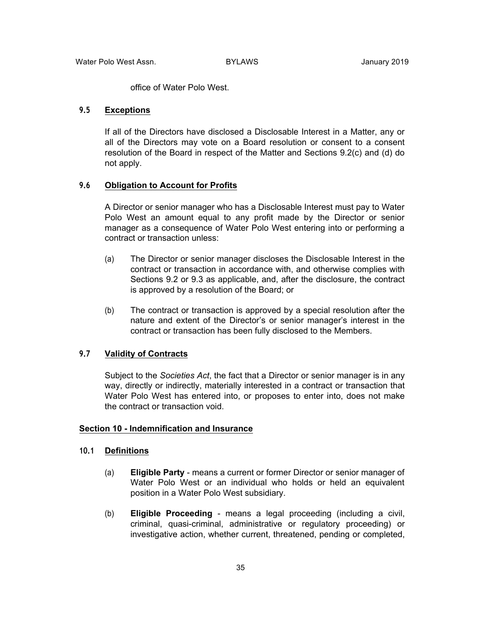office of Water Polo West.

### **9.5 Exceptions**

If all of the Directors have disclosed a Disclosable Interest in a Matter, any or all of the Directors may vote on a Board resolution or consent to a consent resolution of the Board in respect of the Matter and Sections 9.2(c) and (d) do not apply.

#### **9.6 Obligation to Account for Profits**

A Director or senior manager who has a Disclosable Interest must pay to Water Polo West an amount equal to any profit made by the Director or senior manager as a consequence of Water Polo West entering into or performing a contract or transaction unless:

- (a) The Director or senior manager discloses the Disclosable Interest in the contract or transaction in accordance with, and otherwise complies with Sections 9.2 or 9.3 as applicable, and, after the disclosure, the contract is approved by a resolution of the Board; or
- (b) The contract or transaction is approved by a special resolution after the nature and extent of the Director's or senior manager's interest in the contract or transaction has been fully disclosed to the Members.

### **9.7 Validity of Contracts**

Subject to the *Societies Act*, the fact that a Director or senior manager is in any way, directly or indirectly, materially interested in a contract or transaction that Water Polo West has entered into, or proposes to enter into, does not make the contract or transaction void.

#### **Section 10 - Indemnification and Insurance**

#### **10.1 Definitions**

- (a) **Eligible Party** means a current or former Director or senior manager of Water Polo West or an individual who holds or held an equivalent position in a Water Polo West subsidiary.
- (b) **Eligible Proceeding** means a legal proceeding (including a civil, criminal, quasi-criminal, administrative or regulatory proceeding) or investigative action, whether current, threatened, pending or completed,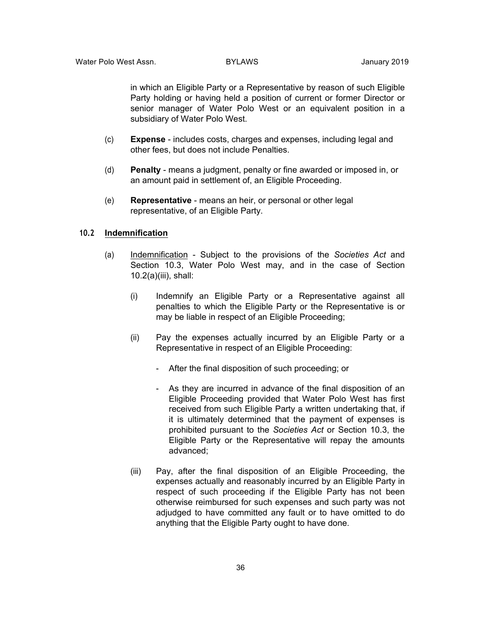in which an Eligible Party or a Representative by reason of such Eligible Party holding or having held a position of current or former Director or senior manager of Water Polo West or an equivalent position in a subsidiary of Water Polo West.

- (c) **Expense**  includes costs, charges and expenses, including legal and other fees, but does not include Penalties.
- (d) **Penalty**  means a judgment, penalty or fine awarded or imposed in, or an amount paid in settlement of, an Eligible Proceeding.
- (e) **Representative**  means an heir, or personal or other legal representative, of an Eligible Party.

### **10.2 Indemnification**

- (a) Indemnification Subject to the provisions of the *Societies Act* and Section 10.3, Water Polo West may, and in the case of Section 10.2(a)(iii), shall:
	- (i) Indemnify an Eligible Party or a Representative against all penalties to which the Eligible Party or the Representative is or may be liable in respect of an Eligible Proceeding;
	- (ii) Pay the expenses actually incurred by an Eligible Party or a Representative in respect of an Eligible Proceeding:
		- After the final disposition of such proceeding; or
		- As they are incurred in advance of the final disposition of an Eligible Proceeding provided that Water Polo West has first received from such Eligible Party a written undertaking that, if it is ultimately determined that the payment of expenses is prohibited pursuant to the *Societies Act* or Section 10.3, the Eligible Party or the Representative will repay the amounts advanced;
	- (iii) Pay, after the final disposition of an Eligible Proceeding, the expenses actually and reasonably incurred by an Eligible Party in respect of such proceeding if the Eligible Party has not been otherwise reimbursed for such expenses and such party was not adjudged to have committed any fault or to have omitted to do anything that the Eligible Party ought to have done.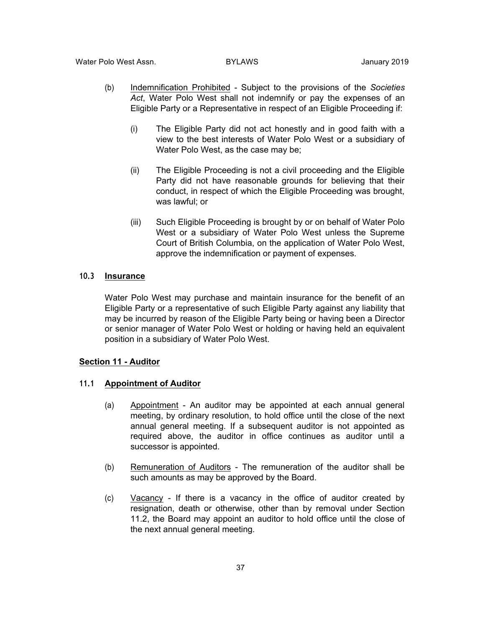- (b) Indemnification Prohibited Subject to the provisions of the *Societies Act*, Water Polo West shall not indemnify or pay the expenses of an Eligible Party or a Representative in respect of an Eligible Proceeding if:
	- (i) The Eligible Party did not act honestly and in good faith with a view to the best interests of Water Polo West or a subsidiary of Water Polo West, as the case may be;
	- (ii) The Eligible Proceeding is not a civil proceeding and the Eligible Party did not have reasonable grounds for believing that their conduct, in respect of which the Eligible Proceeding was brought, was lawful; or
	- (iii) Such Eligible Proceeding is brought by or on behalf of Water Polo West or a subsidiary of Water Polo West unless the Supreme Court of British Columbia, on the application of Water Polo West, approve the indemnification or payment of expenses.

### **10.3 Insurance**

Water Polo West may purchase and maintain insurance for the benefit of an Eligible Party or a representative of such Eligible Party against any liability that may be incurred by reason of the Eligible Party being or having been a Director or senior manager of Water Polo West or holding or having held an equivalent position in a subsidiary of Water Polo West.

#### **Section 11 - Auditor**

### **11.1 Appointment of Auditor**

- (a) Appointment An auditor may be appointed at each annual general meeting, by ordinary resolution, to hold office until the close of the next annual general meeting. If a subsequent auditor is not appointed as required above, the auditor in office continues as auditor until a successor is appointed.
- (b) Remuneration of Auditors The remuneration of the auditor shall be such amounts as may be approved by the Board.
- (c) Vacancy If there is a vacancy in the office of auditor created by resignation, death or otherwise, other than by removal under Section 11.2, the Board may appoint an auditor to hold office until the close of the next annual general meeting.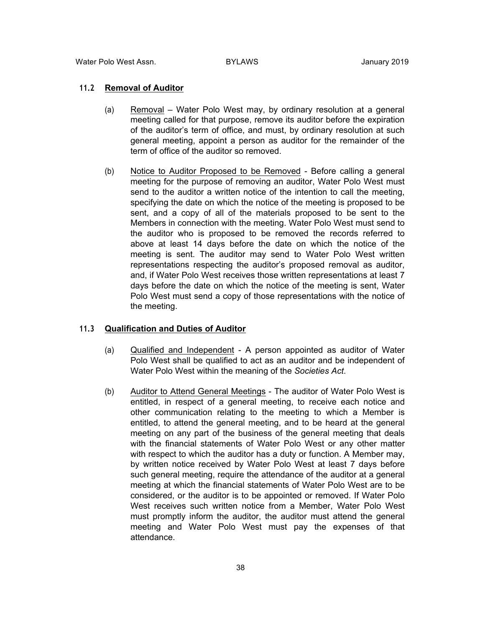#### **11.2 Removal of Auditor**

- (a) Removal Water Polo West may, by ordinary resolution at a general meeting called for that purpose, remove its auditor before the expiration of the auditor's term of office, and must, by ordinary resolution at such general meeting, appoint a person as auditor for the remainder of the term of office of the auditor so removed.
- (b) Notice to Auditor Proposed to be Removed Before calling a general meeting for the purpose of removing an auditor, Water Polo West must send to the auditor a written notice of the intention to call the meeting, specifying the date on which the notice of the meeting is proposed to be sent, and a copy of all of the materials proposed to be sent to the Members in connection with the meeting. Water Polo West must send to the auditor who is proposed to be removed the records referred to above at least 14 days before the date on which the notice of the meeting is sent. The auditor may send to Water Polo West written representations respecting the auditor's proposed removal as auditor, and, if Water Polo West receives those written representations at least 7 days before the date on which the notice of the meeting is sent, Water Polo West must send a copy of those representations with the notice of the meeting.

#### **11.3 Qualification and Duties of Auditor**

- (a) Qualified and Independent A person appointed as auditor of Water Polo West shall be qualified to act as an auditor and be independent of Water Polo West within the meaning of the *Societies Act*.
- (b) Auditor to Attend General Meetings The auditor of Water Polo West is entitled, in respect of a general meeting, to receive each notice and other communication relating to the meeting to which a Member is entitled, to attend the general meeting, and to be heard at the general meeting on any part of the business of the general meeting that deals with the financial statements of Water Polo West or any other matter with respect to which the auditor has a duty or function. A Member may, by written notice received by Water Polo West at least 7 days before such general meeting, require the attendance of the auditor at a general meeting at which the financial statements of Water Polo West are to be considered, or the auditor is to be appointed or removed. If Water Polo West receives such written notice from a Member, Water Polo West must promptly inform the auditor, the auditor must attend the general meeting and Water Polo West must pay the expenses of that attendance.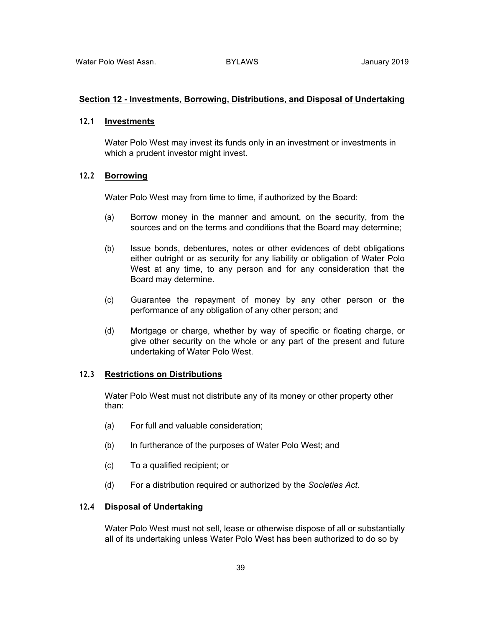#### **Section 12 - Investments, Borrowing, Distributions, and Disposal of Undertaking**

### **12.1 Investments**

Water Polo West may invest its funds only in an investment or investments in which a prudent investor might invest.

### **12.2 Borrowing**

Water Polo West may from time to time, if authorized by the Board:

- (a) Borrow money in the manner and amount, on the security, from the sources and on the terms and conditions that the Board may determine;
- (b) Issue bonds, debentures, notes or other evidences of debt obligations either outright or as security for any liability or obligation of Water Polo West at any time, to any person and for any consideration that the Board may determine.
- (c) Guarantee the repayment of money by any other person or the performance of any obligation of any other person; and
- (d) Mortgage or charge, whether by way of specific or floating charge, or give other security on the whole or any part of the present and future undertaking of Water Polo West.

### **12.3 Restrictions on Distributions**

Water Polo West must not distribute any of its money or other property other than:

- (a) For full and valuable consideration;
- (b) In furtherance of the purposes of Water Polo West; and
- (c) To a qualified recipient; or
- (d) For a distribution required or authorized by the *Societies Act*.

### **12.4 Disposal of Undertaking**

Water Polo West must not sell, lease or otherwise dispose of all or substantially all of its undertaking unless Water Polo West has been authorized to do so by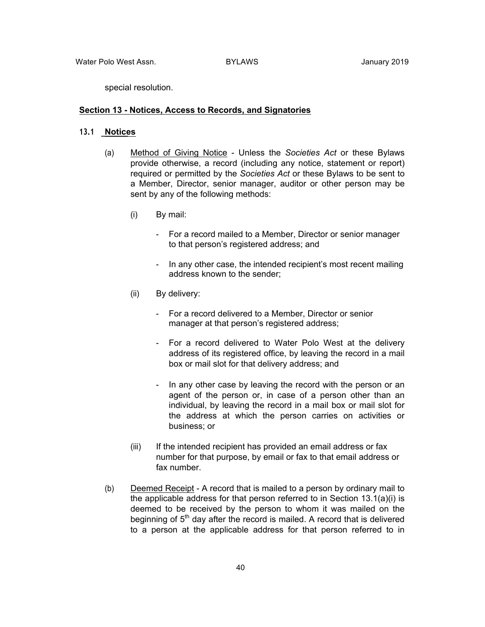special resolution.

#### **Section 13 - Notices, Access to Records, and Signatories**

#### **13.1 Notices**

- (a) Method of Giving Notice Unless the *Societies Act* or these Bylaws provide otherwise, a record (including any notice, statement or report) required or permitted by the *Societies Act* or these Bylaws to be sent to a Member, Director, senior manager, auditor or other person may be sent by any of the following methods:
	- (i) By mail:
		- For a record mailed to a Member, Director or senior manager to that person's registered address; and
		- In any other case, the intended recipient's most recent mailing address known to the sender;
	- (ii) By delivery:
		- For a record delivered to a Member, Director or senior manager at that person's registered address;
		- For a record delivered to Water Polo West at the delivery address of its registered office, by leaving the record in a mail box or mail slot for that delivery address; and
		- In any other case by leaving the record with the person or an agent of the person or, in case of a person other than an individual, by leaving the record in a mail box or mail slot for the address at which the person carries on activities or business; or
	- (iii) If the intended recipient has provided an email address or fax number for that purpose, by email or fax to that email address or fax number.
- (b) Deemed Receipt A record that is mailed to a person by ordinary mail to the applicable address for that person referred to in Section 13.1(a)(i) is deemed to be received by the person to whom it was mailed on the beginning of  $5<sup>th</sup>$  day after the record is mailed. A record that is delivered to a person at the applicable address for that person referred to in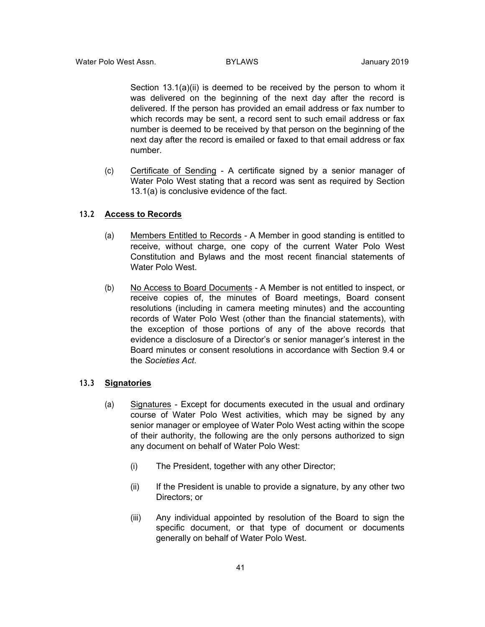Section 13.1(a)(ii) is deemed to be received by the person to whom it was delivered on the beginning of the next day after the record is delivered. If the person has provided an email address or fax number to which records may be sent, a record sent to such email address or fax number is deemed to be received by that person on the beginning of the next day after the record is emailed or faxed to that email address or fax number.

(c) Certificate of Sending - A certificate signed by a senior manager of Water Polo West stating that a record was sent as required by Section 13.1(a) is conclusive evidence of the fact.

### **13.2 Access to Records**

- (a) Members Entitled to Records A Member in good standing is entitled to receive, without charge, one copy of the current Water Polo West Constitution and Bylaws and the most recent financial statements of Water Polo West.
- (b) No Access to Board Documents A Member is not entitled to inspect, or receive copies of, the minutes of Board meetings, Board consent resolutions (including in camera meeting minutes) and the accounting records of Water Polo West (other than the financial statements), with the exception of those portions of any of the above records that evidence a disclosure of a Director's or senior manager's interest in the Board minutes or consent resolutions in accordance with Section 9.4 or the *Societies Act*.

### **13.3 Signatories**

- (a) Signatures Except for documents executed in the usual and ordinary course of Water Polo West activities, which may be signed by any senior manager or employee of Water Polo West acting within the scope of their authority, the following are the only persons authorized to sign any document on behalf of Water Polo West:
	- (i) The President, together with any other Director;
	- (ii) If the President is unable to provide a signature, by any other two Directors; or
	- (iii) Any individual appointed by resolution of the Board to sign the specific document, or that type of document or documents generally on behalf of Water Polo West.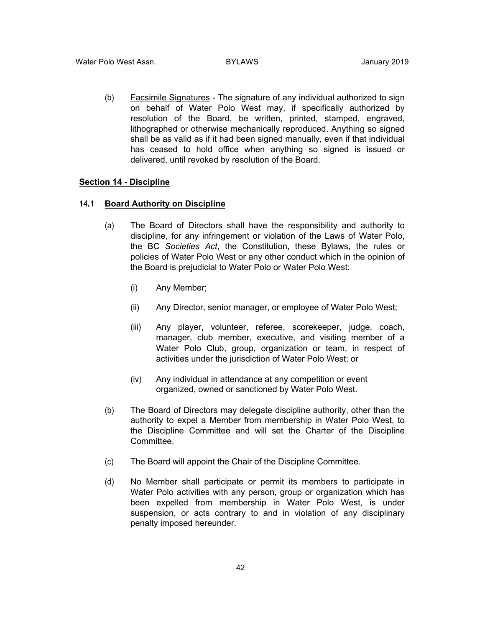(b) Facsimile Signatures - The signature of any individual authorized to sign on behalf of Water Polo West may, if specifically authorized by resolution of the Board, be written, printed, stamped, engraved, lithographed or otherwise mechanically reproduced. Anything so signed shall be as valid as if it had been signed manually, even if that individual has ceased to hold office when anything so signed is issued or delivered, until revoked by resolution of the Board.

#### **Section 14 - Discipline**

#### **14.1 Board Authority on Discipline**

- (a) The Board of Directors shall have the responsibility and authority to discipline, for any infringement or violation of the Laws of Water Polo, the BC *Societies Act*, the Constitution, these Bylaws, the rules or policies of Water Polo West or any other conduct which in the opinion of the Board is prejudicial to Water Polo or Water Polo West:
	- (i) Any Member;
	- (ii) Any Director, senior manager, or employee of Water Polo West;
	- (iii) Any player, volunteer, referee, scorekeeper, judge, coach, manager, club member, executive, and visiting member of a Water Polo Club, group, organization or team, in respect of activities under the jurisdiction of Water Polo West; or
	- (iv) Any individual in attendance at any competition or event organized, owned or sanctioned by Water Polo West.
- (b) The Board of Directors may delegate discipline authority, other than the authority to expel a Member from membership in Water Polo West, to the Discipline Committee and will set the Charter of the Discipline Committee.
- (c) The Board will appoint the Chair of the Discipline Committee.
- (d) No Member shall participate or permit its members to participate in Water Polo activities with any person, group or organization which has been expelled from membership in Water Polo West, is under suspension, or acts contrary to and in violation of any disciplinary penalty imposed hereunder.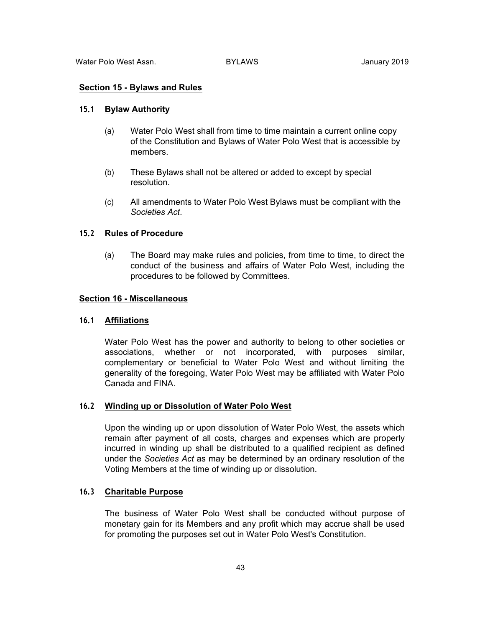#### **Section 15 - Bylaws and Rules**

#### **15.1 Bylaw Authority**

- (a) Water Polo West shall from time to time maintain a current online copy of the Constitution and Bylaws of Water Polo West that is accessible by members.
- (b) These Bylaws shall not be altered or added to except by special resolution.
- (c) All amendments to Water Polo West Bylaws must be compliant with the *Societies Act*.

### **15.2 Rules of Procedure**

(a) The Board may make rules and policies, from time to time, to direct the conduct of the business and affairs of Water Polo West, including the procedures to be followed by Committees.

#### **Section 16 - Miscellaneous**

#### **16.1 Affiliations**

Water Polo West has the power and authority to belong to other societies or associations, whether or not incorporated, with purposes similar, complementary or beneficial to Water Polo West and without limiting the generality of the foregoing, Water Polo West may be affiliated with Water Polo Canada and FINA.

### **16.2 Winding up or Dissolution of Water Polo West**

Upon the winding up or upon dissolution of Water Polo West, the assets which remain after payment of all costs, charges and expenses which are properly incurred in winding up shall be distributed to a qualified recipient as defined under the *Societies Act* as may be determined by an ordinary resolution of the Voting Members at the time of winding up or dissolution.

### **16.3 Charitable Purpose**

The business of Water Polo West shall be conducted without purpose of monetary gain for its Members and any profit which may accrue shall be used for promoting the purposes set out in Water Polo West's Constitution.